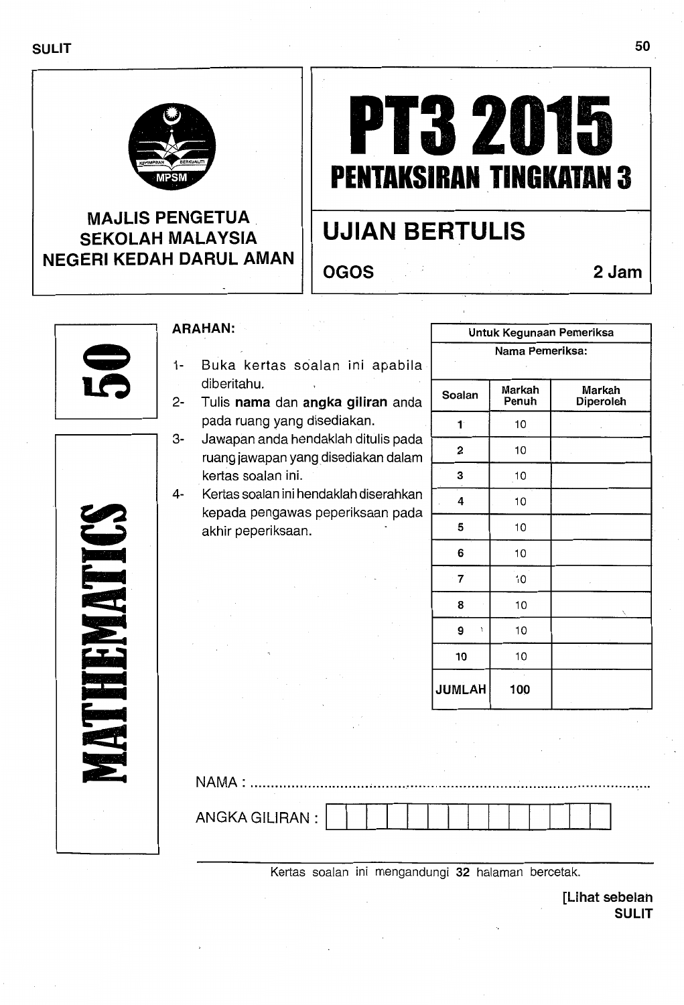$\mathsf{SULIT}$  50



### MAJLIS PENGETUA SEKOLAH MALAYSIA NEGERI KEDAH DARUL AMAN

# **PT32015**  PENTAKSIRAN TINGKATAN 3

# UJIAN BERTULIS

OGOS 2Jam



### ARAHAN:

- 1- Buka kertas soalan ini apabila diberitahu.
- 2- Tulis nama dan angka giliran anda pada ruang yang disediakan.
- 3- Jawapan anda hendaklah ditulis pada ruang jawapan yang disediakan dalarn kertas soalan ini.
- 4- Kertas soalan ini hendaklah diserahkan kepada pengawas peperiksaan pada akhir peperiksaan.

| Untuk Kegunaan Pemeriksa |                 |                     |  |  |
|--------------------------|-----------------|---------------------|--|--|
|                          | Nama Pemeriksa: |                     |  |  |
| Soalan                   | Markah<br>Penuh | Markah<br>Diperoleh |  |  |
| 1                        | 10              |                     |  |  |
| 2                        | 10              |                     |  |  |
| 3                        | 10              |                     |  |  |
| 4                        | 10              |                     |  |  |
| 5                        | 10              |                     |  |  |
| 6                        | 10              |                     |  |  |
| 7                        | 10              |                     |  |  |
| 8                        | 10              |                     |  |  |
| 9<br>١                   | 10              |                     |  |  |
| 10                       | 10              |                     |  |  |
| <b>JUMLAH</b>            | 100             |                     |  |  |

| ANGKA GILIRAN : |  |
|-----------------|--|

Kertas soalan ini mengandungi 32 halaman bercetak.

[Lihat sebelan SULIT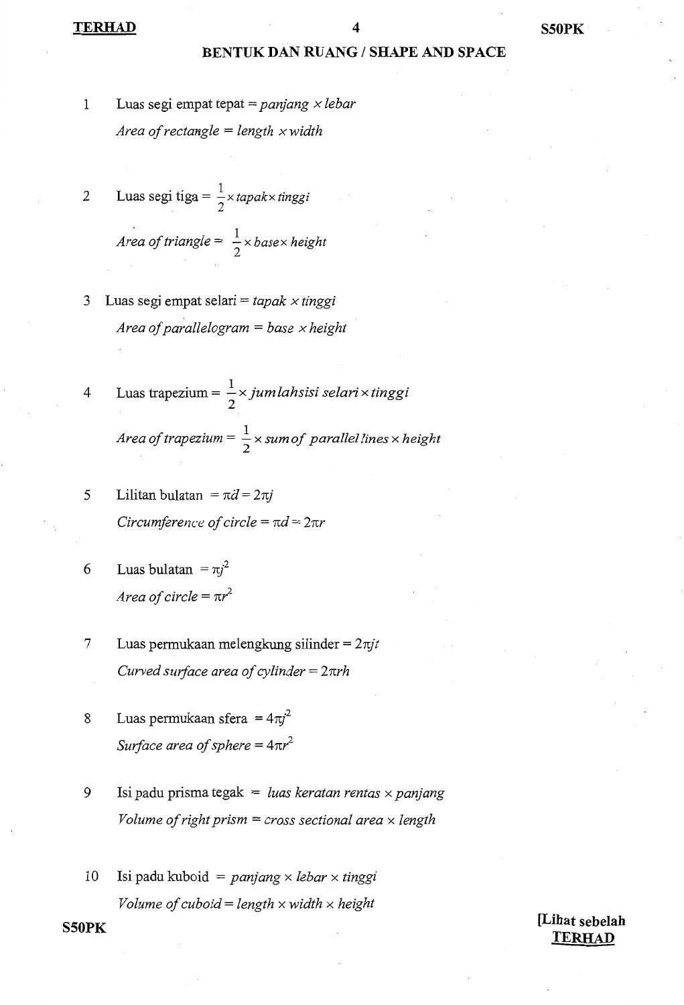### **BENTUK DAN RUANG I SHAPE AND SPACE**

- $1\,$ Luas segi empat tepat = *panjang x lebar Area of rectangle* = *length x width*
- 2 Luas segi tiga =  $\frac{1}{2} \times \tan(\alpha \times \sin(\alpha))$

 $Area of triangle = \frac{1}{2} \times base \times height$ 

- 3 Luas segi empat selari = *tapak x tinggi Area of parallelogram* = *base x height*
- 4 Luas trapezium =  $\frac{1}{2} \times j$ *um lahsisi selari*  $\times$  *tinggi Area of trapezium* =  $\frac{1}{2}$  x *sum of parallel lines* x *height*
- 5 Lilitan bulatan =  $\pi d = 2\pi j$ *Circumference of circle* =  $\pi d = 2\pi r$
- 6 Luas bulatan =  $\pi i^2$ *Area of circle* =  $\pi r^2$
- 7 Luas permukaan melengkung silinder =  $2\pi j t$ *Curved surface area of cylinder= 2rerh*
- 8 Luas permukaan sfera =  $4\pi i^2$ *Surface area of sphere* =  $4\pi r^2$
- 9 Isi padu prisma tegak = *luas keratan rentas* x *panjang Volume of right prism= cross sectional area* x *length*
- 10 Isi padu kuboid = *panjang* x *lebar* x *tinggi Volume of cuboid= length* x *width* x *height*

**SSOPK** 

**[Lihat sebelah TERHAD**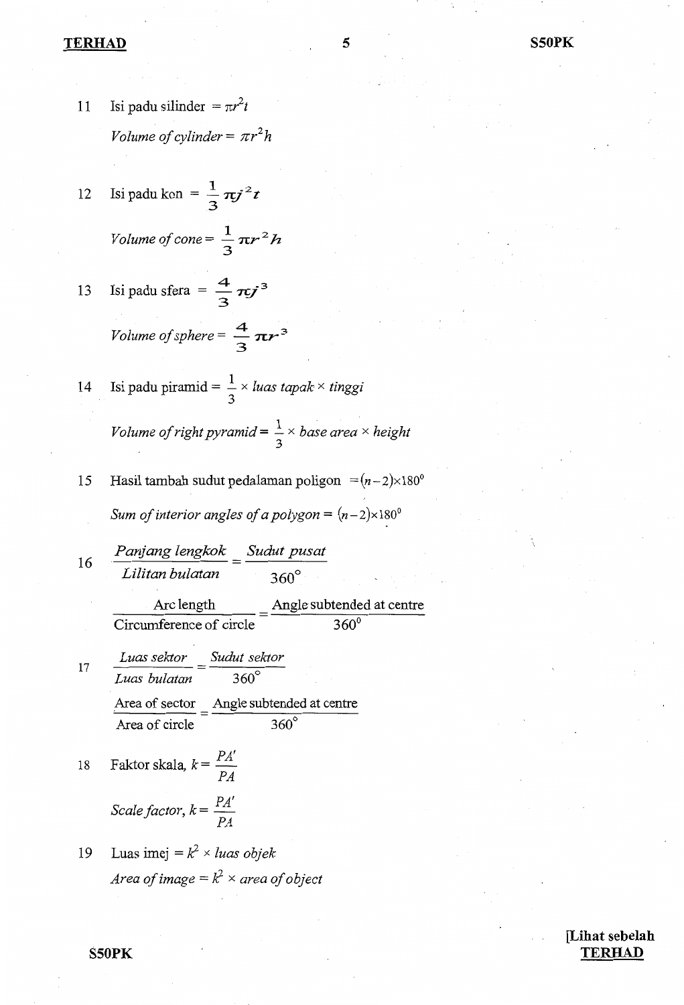- 11 Isi padu silinder =  $\pi r^2 t$ *Volume of cylinder* =  $\pi r^2 h$
- 12 Isi padu kon =  $\frac{1}{2} \pi j^2 t$ 3 *Volume of cone* =  $\frac{1}{3} \pi r^2 h$
- 13 Isi padu sfera =  $\frac{4}{3} \pi j^3$ *Volume of sphere* =  $\frac{4}{3} \pi r^3$

14 Isi padu piramid = 
$$
\frac{1}{3} \times luas tapak \times tinggi
$$

*Volume of right pyramid* =  $\frac{1}{2} \times$  *base area*  $\times$  *height* 3

15 Hasil tambah sudut pedalaman poligon =  $(n-2) \times 180^\circ$ *Sum of interior angles of a polygon* =  $(n-2) \times 180^\circ$ 

16 
$$
\frac{Panging \text{ lengthok}}{Lilitan \text{ bular}} = \frac{Sudut \text{ pusat}}{360^{\circ}}
$$

Arc length Angle subtended at centre Circumference of circle 360<sup>°</sup>

17 
$$
\frac{Luas \, sektor}{Luas \, bulatan} = \frac{Sudut \, sektor}{360^{\circ}}
$$
  
Area of sector = Angle subtended at centre  
Area of circle = 360°

18 Faktor skala, 
$$
k = \frac{PA'}{PA}
$$
  
Scale factor,  $k = \frac{PA'}{PA}$ 

19 Luas imej = 
$$
k^2 \times luas
$$
 objek  
Area of image =  $k^2 \times area$  of object

**[Lihat sebelah TERHAD** 

**5**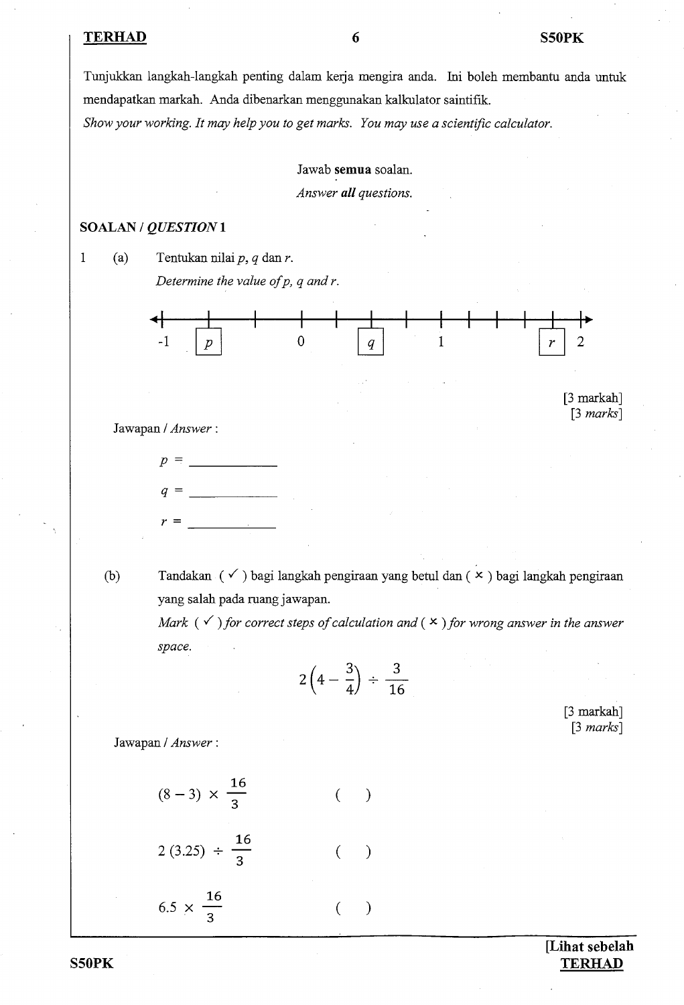### **TERHAD** 6 S50PK

Tunjukkan langkah-langkah penting dalam kerja mengira anda. Ini boleh membantu anda untuk mendapatkan markah. Anda dibenarkan menggunakan kalkulator saintifik.

*Show your working. It may help you to get marks. You may use a scientific calculator.* 

Jawab **semua** soalan.

*Answer all questions.* 

### **SOALAN I** *QUESTION* **1**

 $\mathbf{1}$ 

(a) Tentukan nilai p, q dan r.

*Determine the value of p, q and r.* 



[3 markah] [3 *marks]* 

Jawapan / Answer:



(b) Tandakan ( $\checkmark$ ) bagi langkah pengiraan yang betul dan ( $\checkmark$ ) bagi langkah pengiraan yang salah pada ruang jawapan.

> *Mark*  $(\checkmark)$  *for correct steps of calculation and*  $(\checkmark)$  *for wrong answer in the answer space.*

$$
2\left(4-\frac{3}{4}\right)\div\frac{3}{16}
$$

[3 markah] [3 *marks]* 

Jawapan / Answer:

 $(8-3) \times \frac{16}{3}$  ()  $2(3.25) \div \frac{16}{3}$  ( )  $6.5 \times \frac{16}{3}$  ()

**[Lihat sebelah SSOPK TERHAD**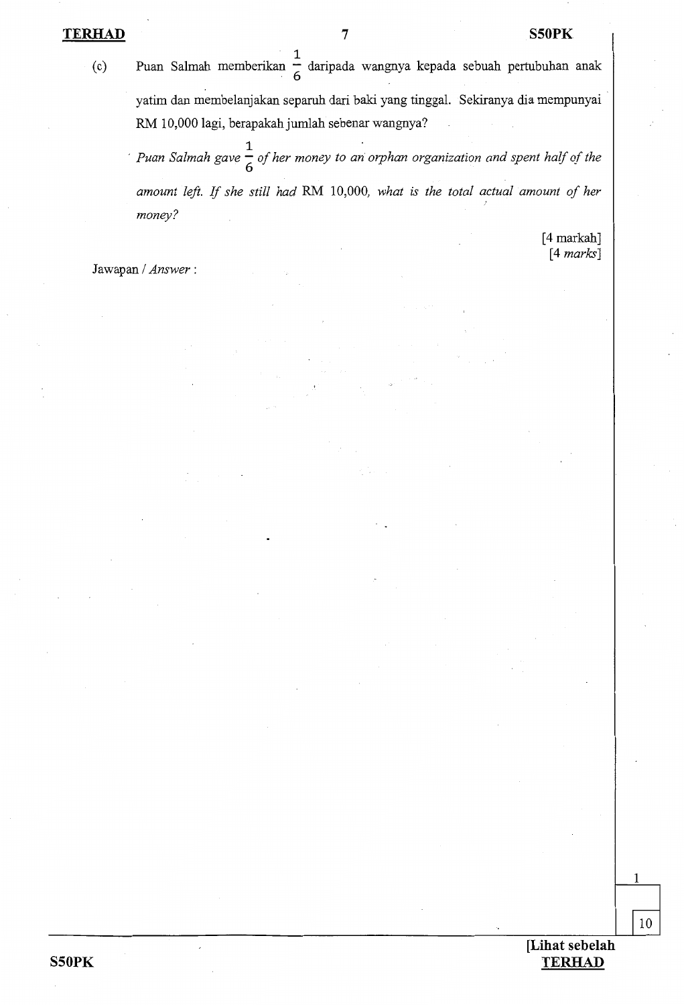(c)

1 Puan Salmah memberikan – daripada wangnya kepada sebuah pertubuhan anak .<br>6 yatim dan membelanjakan separuh dari baki yang tinggal. Sekiranya dia mempunyai RM 10,000 lagi, berapakah jumlah sebenar wangnya?

Puan Salmah gave  $\frac{1}{6}$  of her money to an orphan organization and spent half of the *amount left.* If *she still had* RM 10,000, *what is the total actual amount of her money?* 

> [4 markah] [4 *marks]*

Jawapan *I Answer:* 

**[Lihat sebelah TERHAD** 

10

 $\mathbf{1}$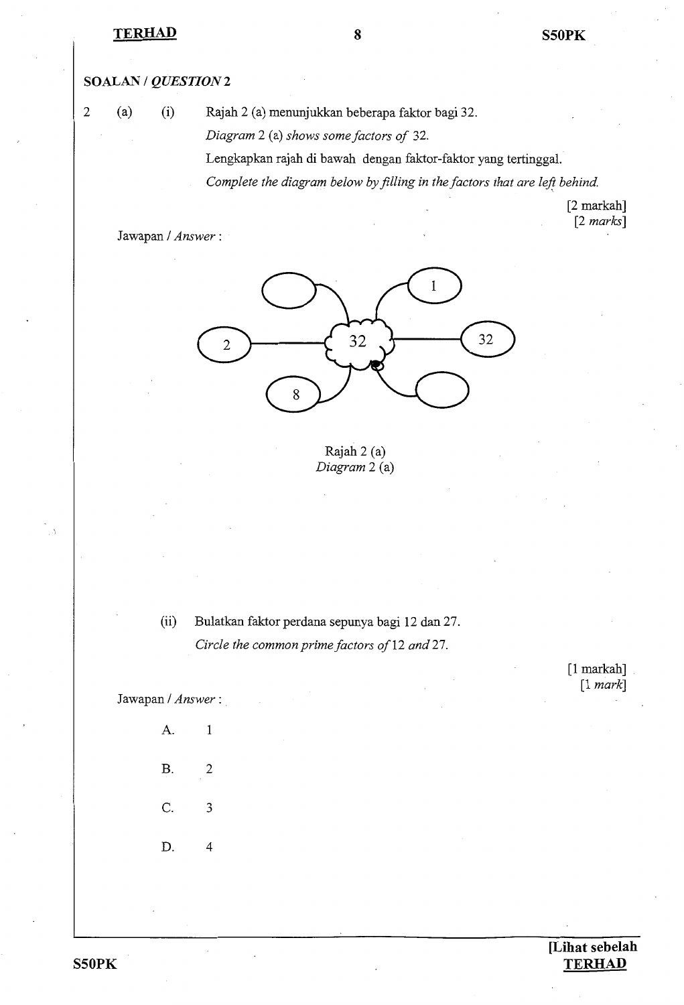[2 markah] [2 *marks]* 

### **SO ALAN I** *QUESTION* **2**

2 (a) (i) Rajah 2 (a) menunjukkan beberapa faktor bagi 32. *Diagram* 2 (a) *shows some factors of* 32. Lengkapkan rajah di bawah dengan faktor-faktor yang tertinggal. *Complete the diagram below by filling in the factors that are left behind.* 

Jawapan *I Answer* :



Rajah 2 (a) *Diagram* 2 (a)

(ii) Bulatkan faktor perdana sepunya bagi 12 dan 27. *Circle the common prime factors of* 12 and 27.

Jawapan / Answer:

A.  $\mathbf{1}$ B. 2 C. 3 D. 4

> **[Lihat sebelah TERHAD**

[1 markah] [1 *mark]*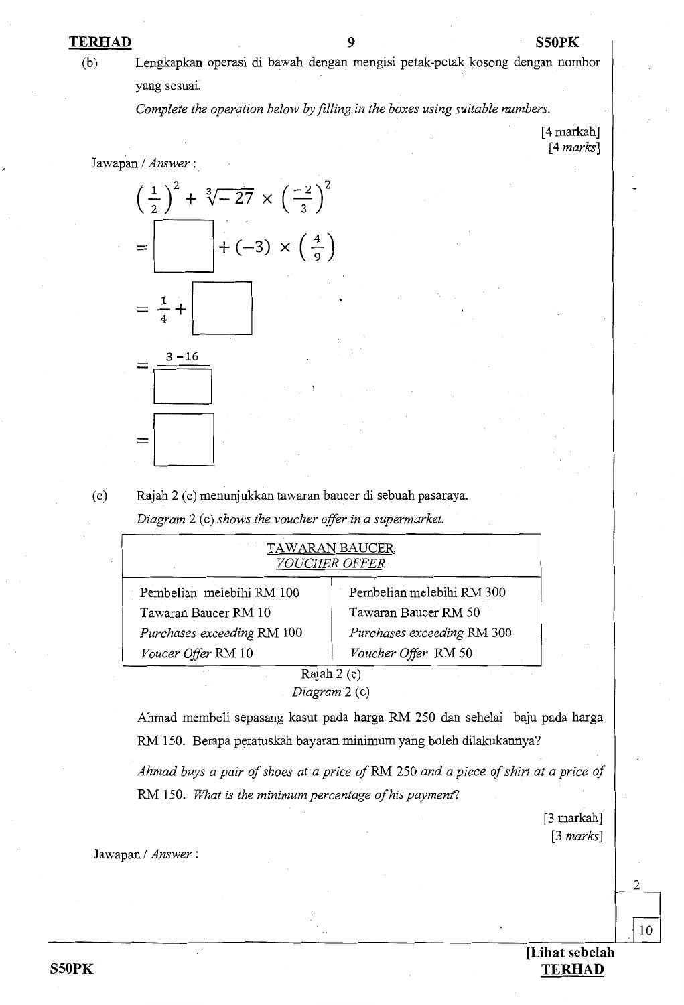(b) Lengkapkan operasi di bawah dengan mengisi petak-petak kosong dengan nombor yang sesuai:

*Complete the operation below by filling in the boxes using suitable numbers.* 

[4 markah] [4 *marks]* 

Jawapan *I Answer:* 



(c) Rajah 2 (c) menunjukkan tawaran baucer di sebuah pasaraya.

*Diagram 2 (c) shows the voucher offer in a supermarket.* 

| <b>TAWARAN BAUCER</b><br><b>VOUCHER OFFER</b> |                            |
|-----------------------------------------------|----------------------------|
| Pembelian melebihi RM 100                     | Pembelian melebihi RM 300  |
| Tawaran Baucer RM 10                          | Tawaran Baucer RM 50       |
| Purchases exceeding RM 100                    | Purchases exceeding RM 300 |
| Voucer Offer RM 10                            | Voucher Offer RM 50        |
|                                               | Rajah $2(c)$               |

*Diagram* 2 ( c)

Ahmad membeli sepasang kasut pada harga RM 250 dan sehelai baju pada harga RM 150. Berapa peratuskah bayaran minimum yang boleh dilakukannya?

*Ahmad buys a pair of shoes at a price of* RM 250 *and a piece of shirt at a price of*  RM 150. *What is the minimum percentage of his payment?* 

> [3 markah] [3 *marks]*

Jawapan *I Answer:* 

### **[Lihat sebelah TERHAD**

2

10

**S50PK**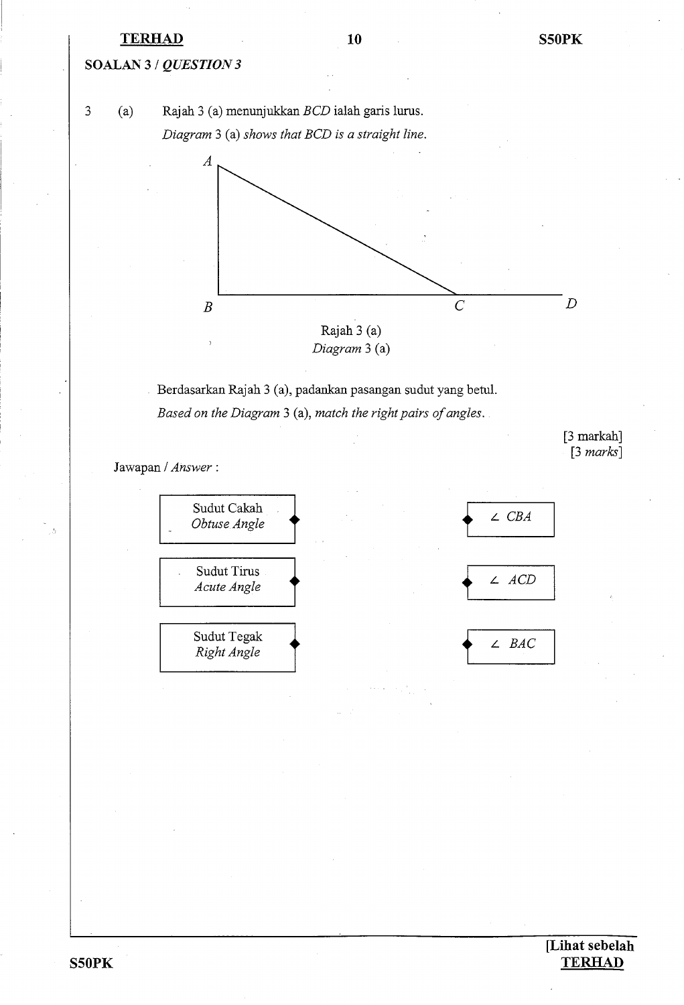### **SOALAN 3** *I QUESTION 3*

3 (a) Rajah 3 (a) menunjukkan *BCD* ialah garis lurus. *Diagram* 3 (a) *shows that BCD is a straight line.* 



Berdasarkan Rajah 3 (a), padankan pasangan sudut yang betul. *Based on the Diagram* 3 (a), *match the right pairs of angles.* 



Jawapan / Answer :



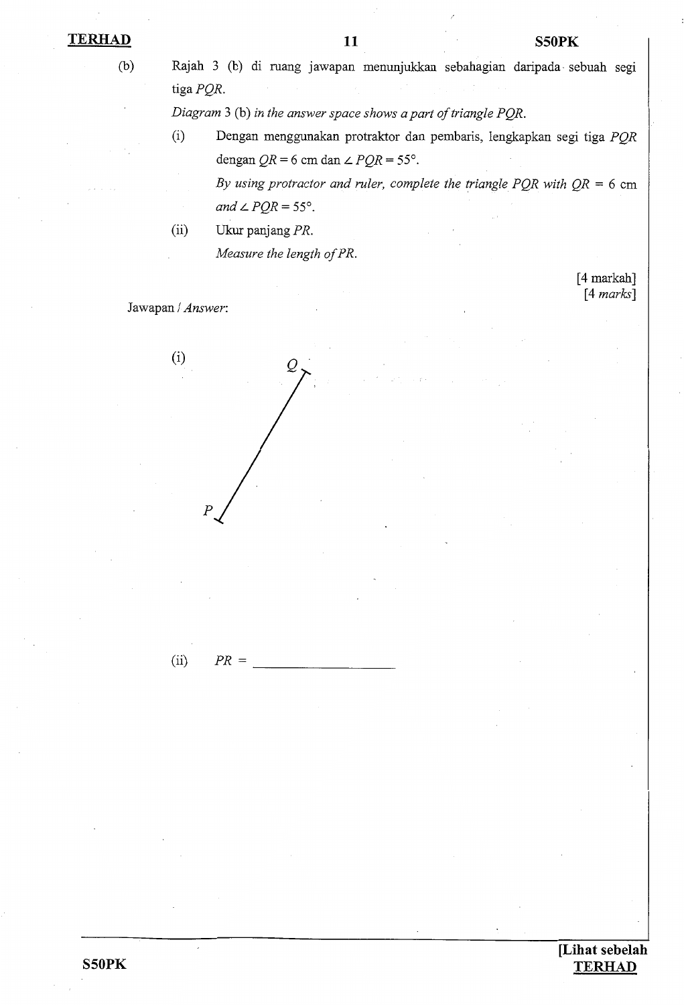[4 markah] [4 *marks]* 

(b) Rajah 3 (b) di ruang jawapan menunjukkan sebahagian daripada- sebuah segi tiga PQR.

*Diagram* 3 (b) *in the answer space shows a part of triangle PQR.* 

(i) Dengan menggunakan protraktor dan pembaris, lengkapkan segi tiga *PQR*  dengan  $QR = 6$  cm dan  $\angle PQR = 55^{\circ}$ .

*By using protractor and ruler, complete the triangle PQR with*  $QR = 6$  *cm and*  $\angle$  *PQR* = 55°.

(ii) Ukur panjang *PR.* 

*Measure the length of PR.* 

Jawapan *I Answer:* 

(i)

O p

(ii)  $PR =$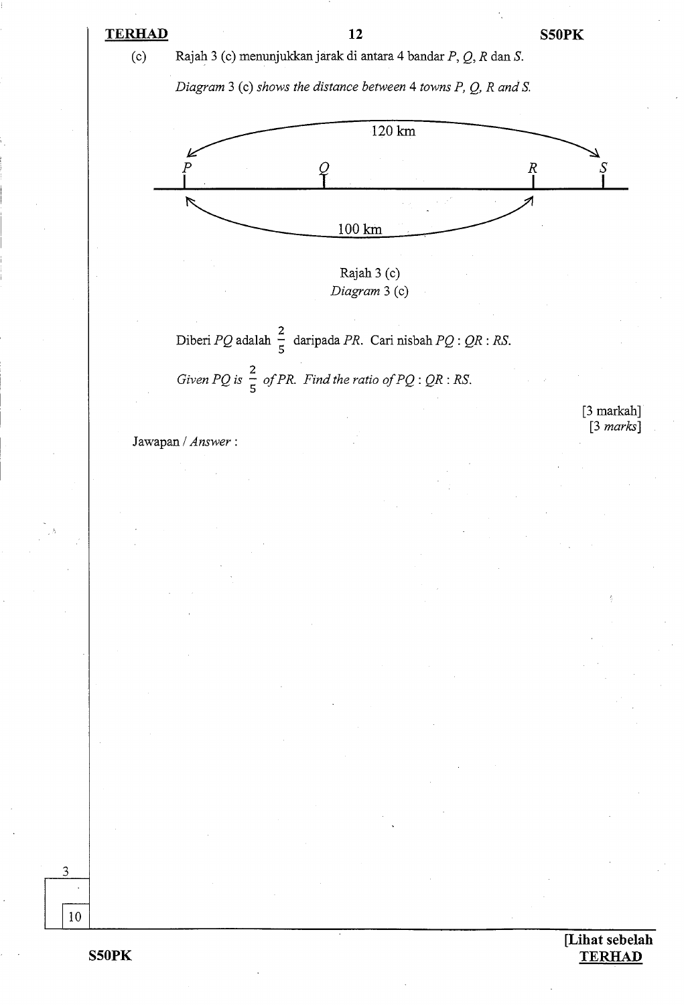

(c) Rajah 3 (c) menunjukkanjarak di antara 4 bandar P, Q, R dan S.

*Diagram* 3 ( c) *shows the distance between* 4 *towns P, Q, R and* S.



Rajah 3 (c) *Diagram* 3 ( c)

 $Diberi PQ$  adalah  $\frac{2}{5}$  daripada *PR*. Cari nisbah  $PQ:QR:RS$ .

*Given PQ is*  $\frac{2}{5}$  *of PR. Find the ratio of PQ* : *QR* : *RS.* 

[3 markah] [3 *marks]* 

**[Lihat sebelah TERHAD** 

Jawapan / Answer :

3

10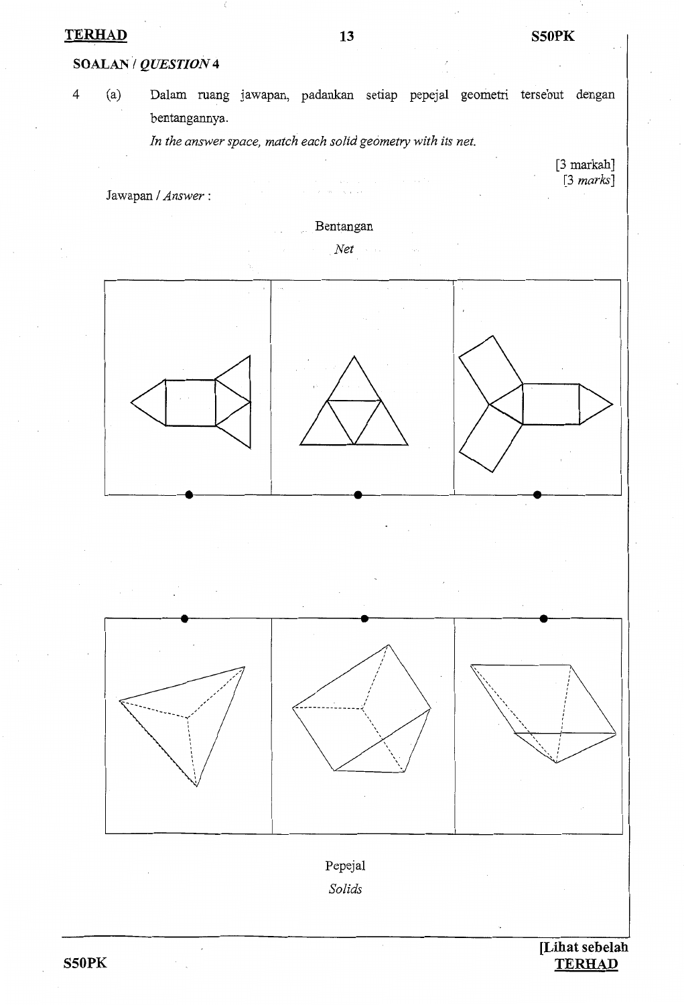### **TERHAD** 13 S50PK

[3 markah] [3 *marks]* 

### **SOALAN I** *QUESTION* **4**

4 (a) Dalam ruang jawapan, padankan setiap pepejal geometri tersebut dengan bentangannya.

*In the answer space, match each solid geometry with its net.* 

Jawapan / Answer:

Bentangan

*Net* 





Pepejal

*Solids* 

**[Lihat sebelah TERHAD**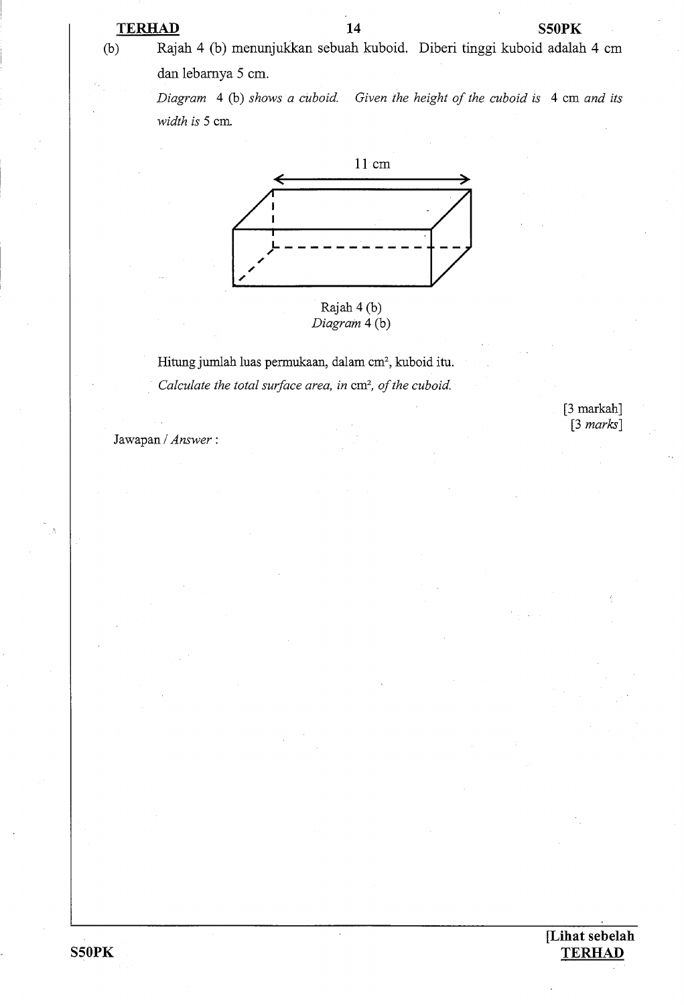### **TERHAD** 14 S50PK

(b) Rajah 4 (b) menunjukkan sebuah kuboid. Diberi tinggi kuboid adalah 4 cm dan lebamya 5 cm.

> *Diagram* 4 (b) *shows a cuboid. Given the height of the cuboid is* 4 cm *and its width is* 5 cm



Rajah 4 (b) *Diagram* 4 (b)

Hitung jumlah luas permukaan, dalam cm<sup>2</sup>, kuboid itu. *Calculate the total surface area, in* cm2 , *of the cuboid.* 

> [3 markah] [3 *marks]*

Jawapan *I Answer* :

**SSOPK**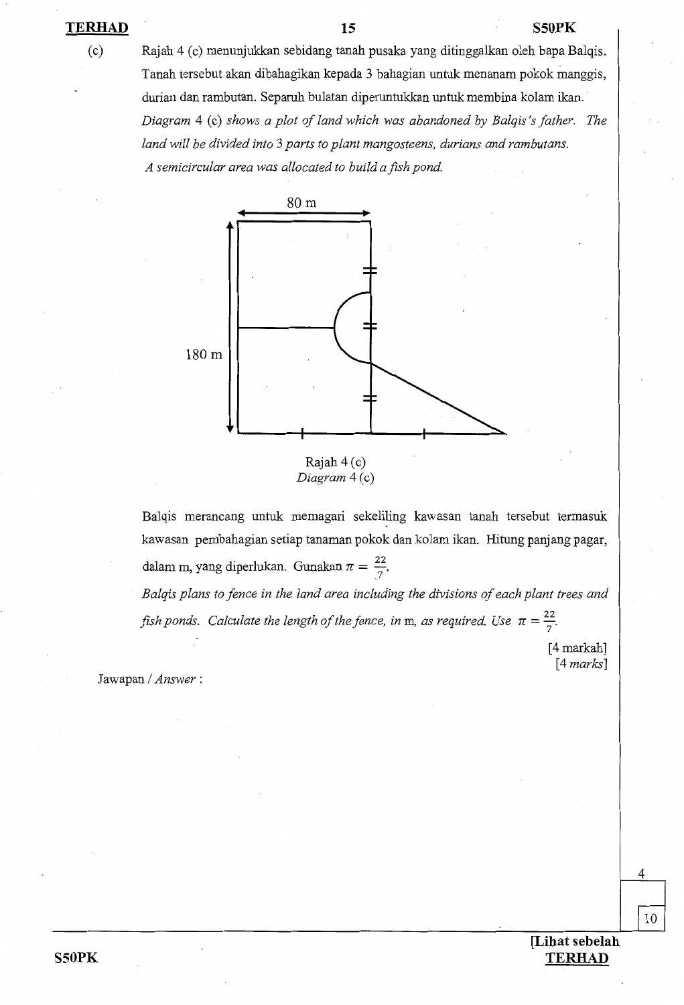### **15 SSOPK**

(c)

Rajah 4 (c) menunjukkan sebidang tanah pusaka yang ditinggalkan oleh bapa Balqis. Tanah tersebut akan dibahagikan kepada 3 bahagian untuk menanam pokok inanggis, durian dan rambutan. Separuh bulatan diperuntukkan untuk membina kolam ikan. · *Diagram* 4 ( c) *shows a plot of land which was abandoned by Balqis 's father. The land will be divided into* 3 *parts to plant mangosteens, durians and rambutans. A semicircular area was allocated to build a fish pond.* 



*Diagram* 4 ( c)

Balqis merancang untuk memagari sekeliling kawasan tanah tersebut termasuk kawasan pembahagian setiap tanaman pokok dan kolam ikan. Hitung panjang pagar, dalam m, yang diperlukan. Gunakan  $\pi = \frac{22}{7}$ . *Balqis plans to fence in the land area including the divisions of each plant trees and* 

*fish ponds.* Calculate the length of the fence, in m, as required. Use  $\pi = \frac{22}{7}$ .

[4 markah] [4 *marks]* 

Jawapan *I Answer* :

4

10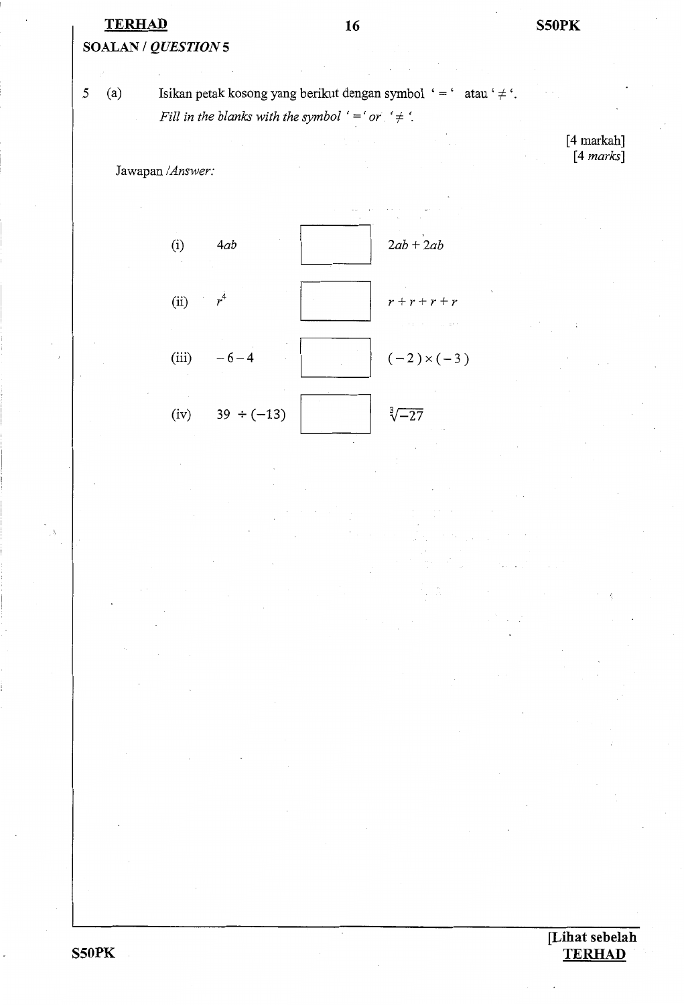### **SOALAN I** *QUESTION* **5**

5 (a) Isikan petak kosong yang berikut dengan symbol '= ' atau ' $\neq$ '. *Fill in the blanks with the symbol ' = ' or '*  $\neq$ *'.* 

> [4 markah] [4 *marks]*

Jawapan */Answer:* 

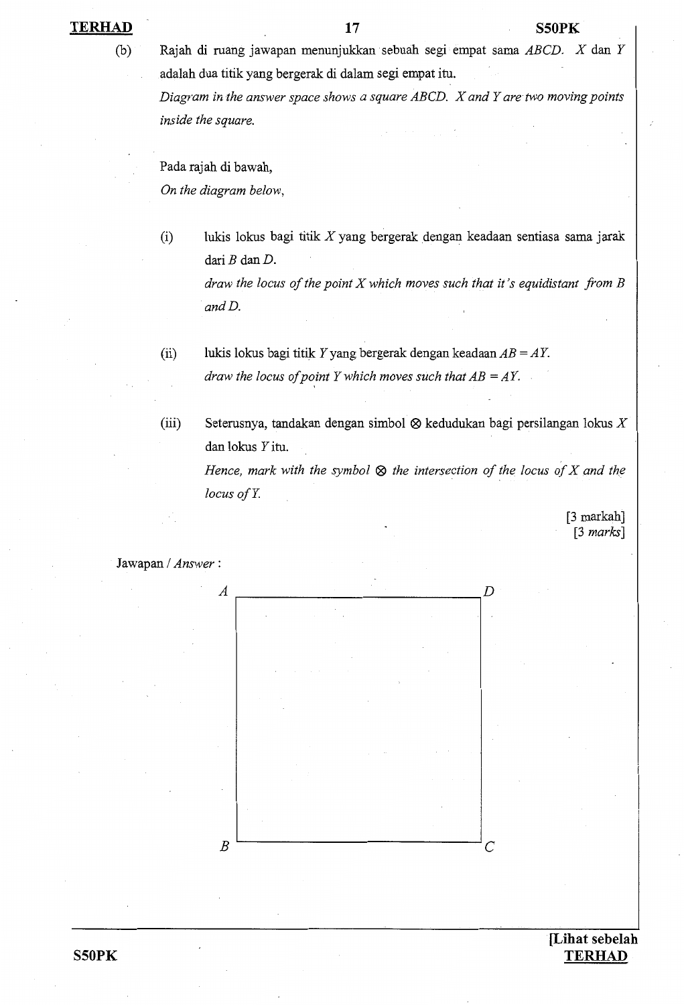(b)

### **17 SSOPK**

Rajah di ruang jawapan menunjukkan sebuah segi empat sama *ABCD. X* dan *Y*  adalah dua titik yang bergerak di dalam segi empat itu. *Diagram in the answer space shows a square ABCD. X and Y are two moving points inside the square.* 

Pada rajah di bawah,

*On the diagram below,* 

- (i) lukis lokus bagi titik *X* yang bergerak dengan keadaan sentiasa sama jarak dari  $B$  dan  $D$ . *draw the locus of the point Xwhich moves such that it's equidistant from B andD.*
- (ii) lukis lokus bagi titik *Y* yang bergerak dengan keadaan *AB= AY. draw the locus of point Y which moves such that AB= AY.*
- (iii) Seterusnya, tandakan dengan simbol  $\otimes$  kedudukan bagi persilangan lokus X dan lokus Y itu.

*Hence, mark with the symbol*  $\otimes$  *the intersection of the locus of X and the locus ofY.* 

> [3 markah] [3 *marks]*

Jawapan *I Answer* :



**[Lihat sebelah TERHAD**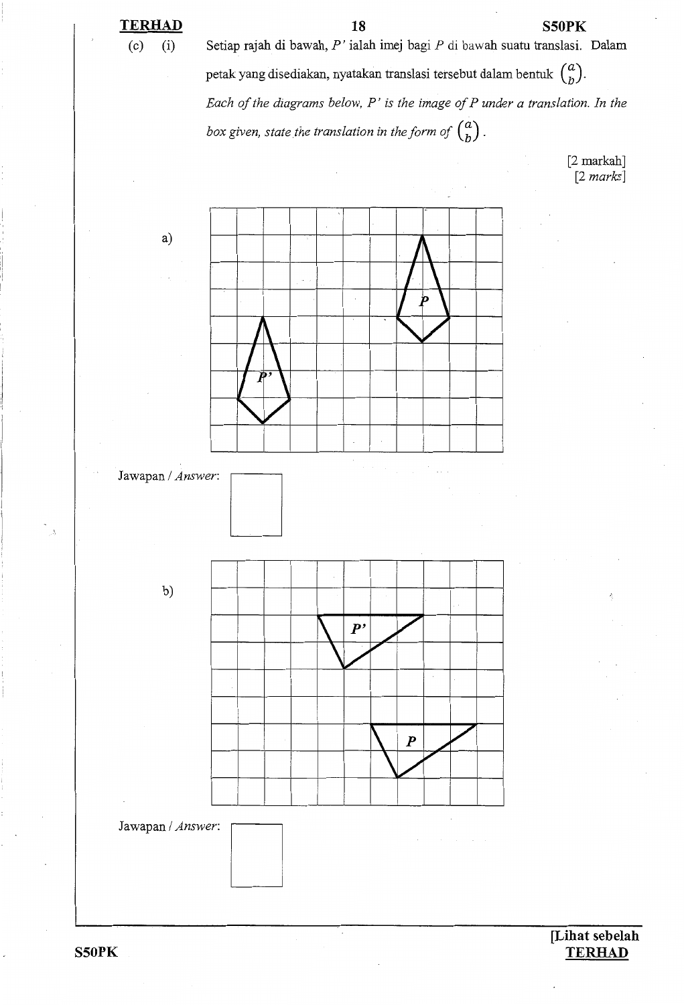



**18 SSOPK**  Setiap rajah di bawah,  $P'$  ialah imej bagi  $P$  di bawah suatu translasi. Dalam petak yang disediakan, nyatakan translasi tersebut dalam bentuk  $\binom{a}{b}$ . *Each of the diagrams below,* P' *is the image of P under a translation. Jn the box given, state the translation in the form of*  $\binom{a}{b}$ .

> [2 markah] [2 *marks]*

a)



 $\left\langle \begin{array}{c} P' \end{array} \right\rangle$  $\begin{matrix} P \ \end{matrix}$ 

 $\Delta$ 

 $\overline{\phantom{0}}$ 

/

**p** 

/ *v* 

/

/



b)

Jawapan *I Answer:* D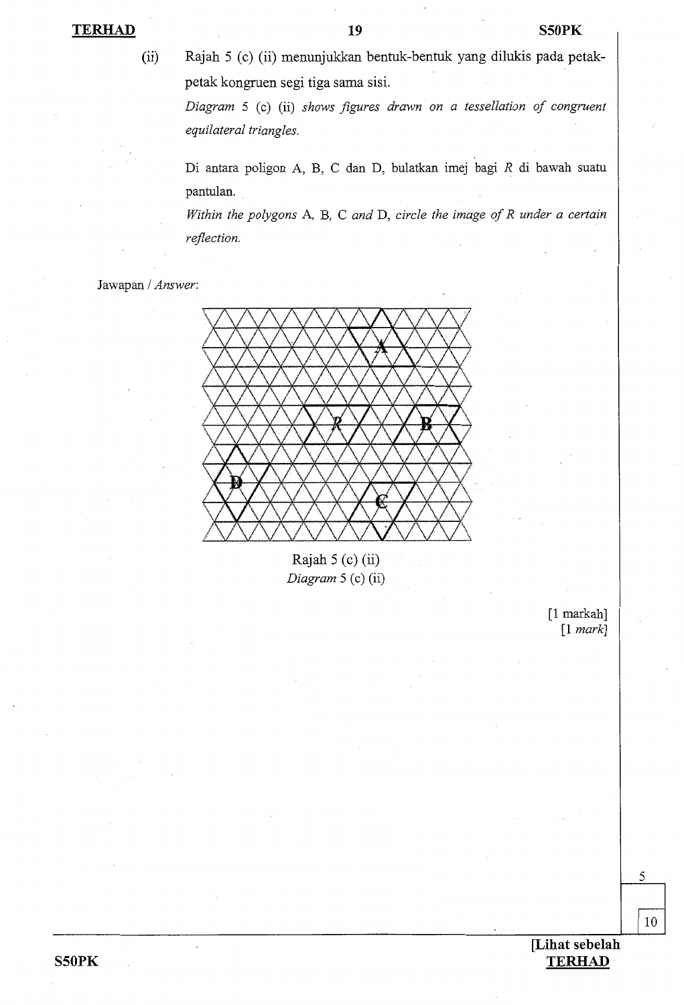(ii) Rajah 5 (c) (ii) menunjukkan bentuk-bentuk yang dilukis pada petakpetak kongruen segi tiga sama sisi.

*Diagram* 5 (c) (ii) *shows figures drawn on a tessellation of congruent equilateral triangles.* 

Di antara poligon A, B, C dan D, bulatkan imej bagi *R* di bawah suatu pantulan.

*Within the polygons* A, B, C *and* D, *circle the image of R under a certain reflection.* 

Jawapan *I Answer:* 



Rajah  $5$  (c) (ii) *Diagram* 5 (c) (ii)

> [1 markah] [1 *mark]*



5

10

**S50PK**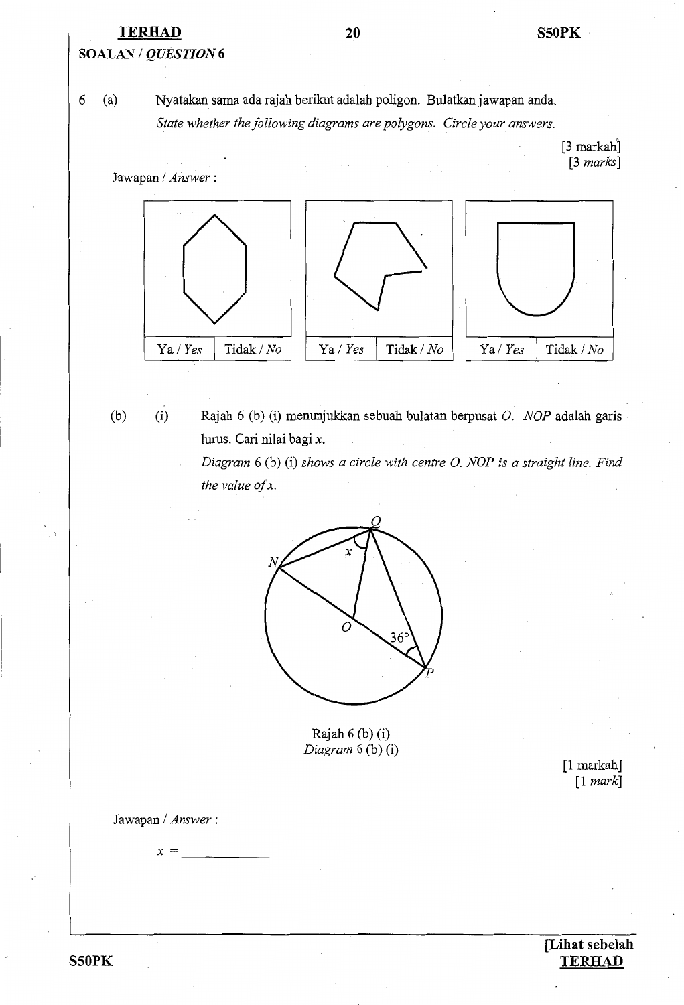### **TERHAD SOALAN I** *QUESTION* **6**

6 (a) Nyatakan sama ada rajah berikut adalah poligon. Bulatkanjawapan anda. *State whether the following diagrams are polygons. Circle your answers.* 

> [3 markah] [3 *marks]*





(b)

(i) Rajah 6 (b) (i) menunjukkan sebuah bulatan berpusat 0. *NOP* adalah garis lurus. Cari nilai bagi *x.* 

*Diagram* 6 (b) (i) *shows a circle with centre* 0. *NOP is a straight line. Find the value of x.* 



Rajah 6 (b) (i) *Diagram* 6 (b) (i)

[I markah] [1 *mark]* 

Jawapan *I Answer* :

*x= \_\_\_\_ \_*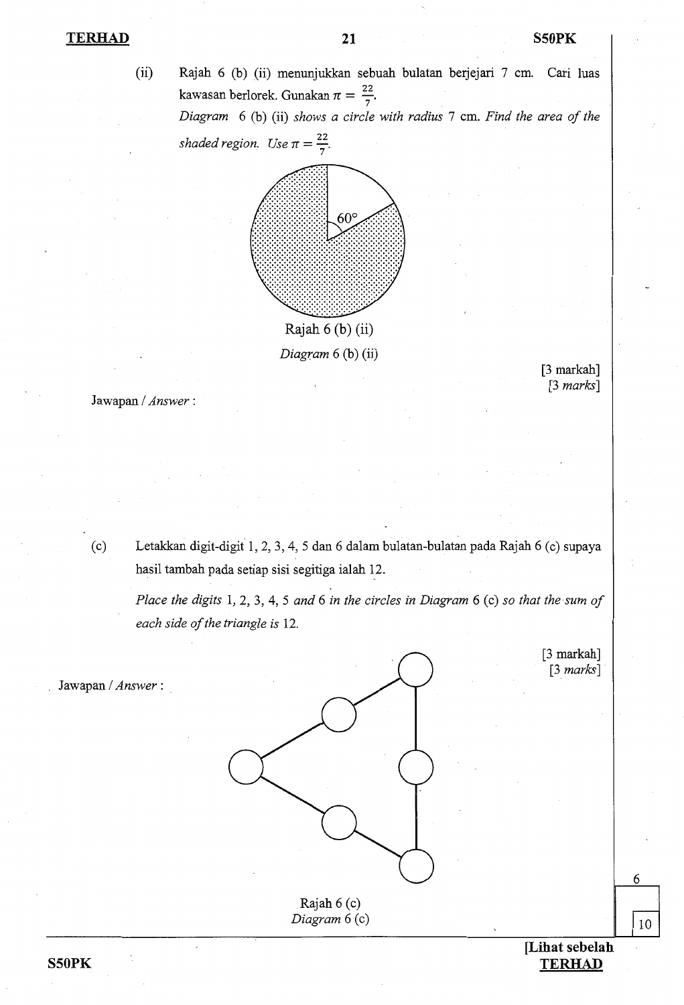**TERHAD 21 S50PK** 

[3 markah] [3 *marks]* 

[3 markah]

**TERHAD** 

10

(ii) Rajah 6 (b) (ii) menunjukkan sebuah bulatan berjejari 7 cm. Cari luas kawasan berlorek. Gunakan  $\pi = \frac{22}{7}$ . *Diagram* 6 (b) (ii) *shows a circle with radius* 7 cm. *Find the area of the* 

shaded region. Use  $\pi = \frac{22}{7}$ .



*Diagram* 6 (b) (ii)

Jawapan *I Answer* :

(c) Letakkan digit-digit 1, 2, 3, 4, 5 dan 6 dalam bulatan-bulatan pada Rajah 6 (c) supaya hasil tambah pada setiap sisi segitiga ialah 1\_2.

*Place the digits* l, 2, 3, 4, 5 *and* 6 *in the circles in Diagram* 6 (c) *so that the sum of each side of the triangle is* 12.

*[3marks]*  Jawapan *I Answer* : . Rajah 6 (c) *Diagram* 6 (c) **[Lihat sebelah**  6

### **S50PK**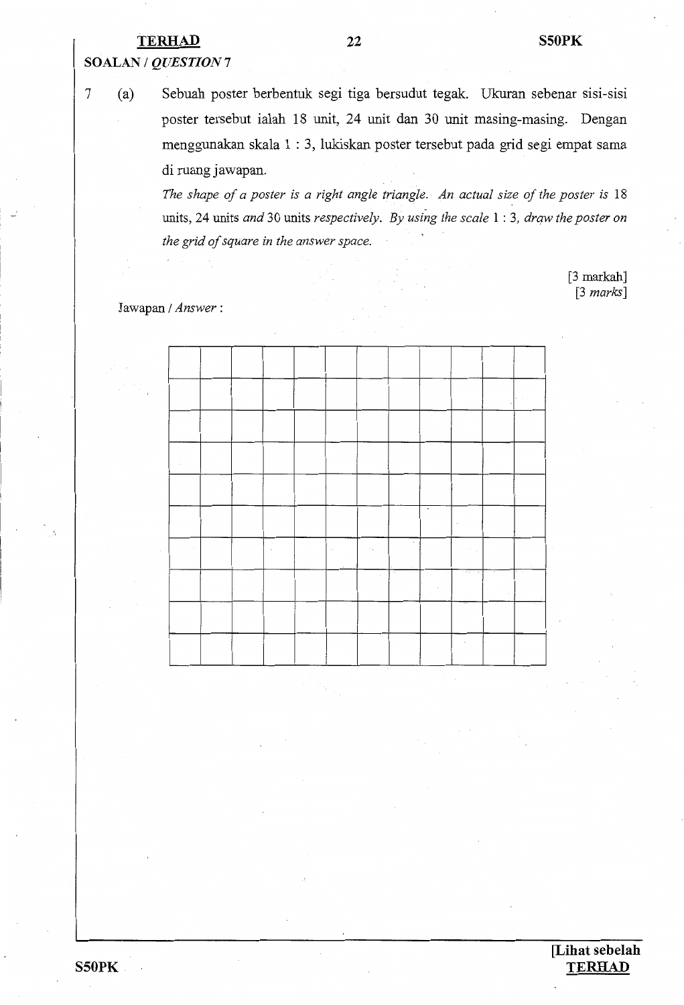# **TERHAD 22** S50PK

**SO ALAN I** *QUESTION* **7** 

7 (a) Sebuah poster berbentuk: segi tiga bersudut tegak. Ukuran sebenar sisi-sisi poster tersebut ialah 18 unit, 24 unit dan 30 unit masing-masing. Dengan menggunakan skala 1 : 3, lukiskan poster tersebut pada grid segi empat sama di ruang jawapan.

> *The shape of a poster is a right angle triangle. An actual size of the poster is* 18 units, 24 units *and* 30 units *respectively. By using the scale* 1 : 3, *draw the poster on the grid of square in the answer space.*

> > [3 markah] [3 *marks]*

### Jawapan *I Answer* :

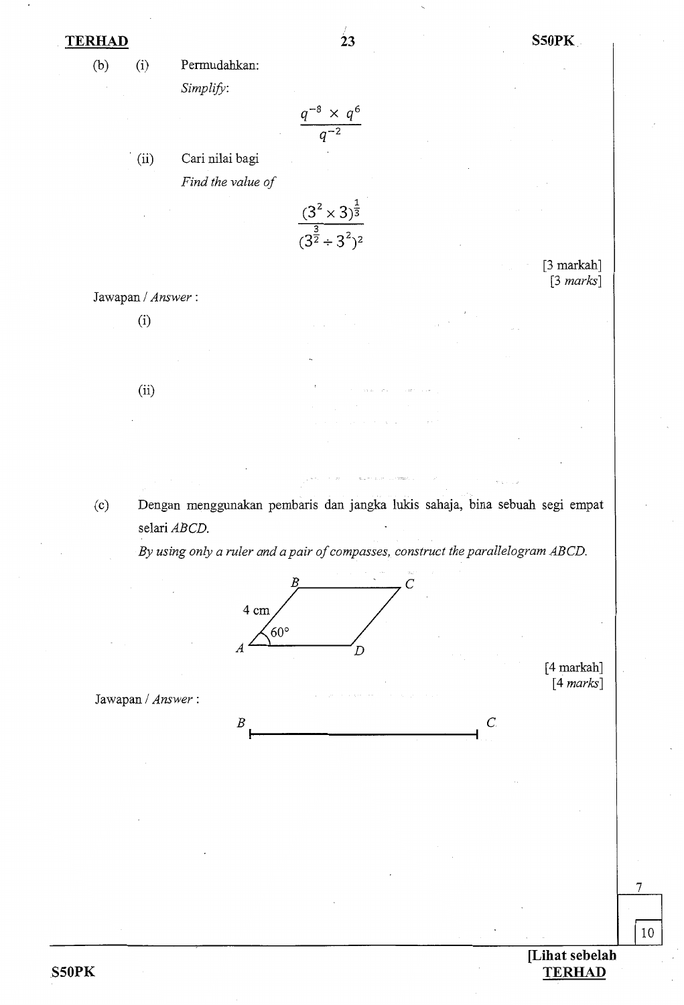### **TERHAD 23 S50PK**.

[3 markah] [3 *marks]* 

### (b) (i) Permudahkan:

*Simplify:* 

$$
\frac{q^{-8} \times q^6}{q^{-2}}
$$

. (ii) Cari nilai bagi *Find the value of* 

$$
\frac{(3^2 \times 3)^{\frac{1}{3}}}{(3^{\frac{3}{2}} \div 3^2)^2}
$$

Jawapan *I Answer* :

(i)

(ii)

(c) Dengan menggunakan pembaris dan jangka lukis sahaja, bina sebuah segi empat selari *ABCD.* 

*By using only a ruler and a pair of compasses, construct the parallelogram ABCD.* 



[4 markah] [4 *marks]* 

Jawapan *I Answer:* 

*B c* 

7

10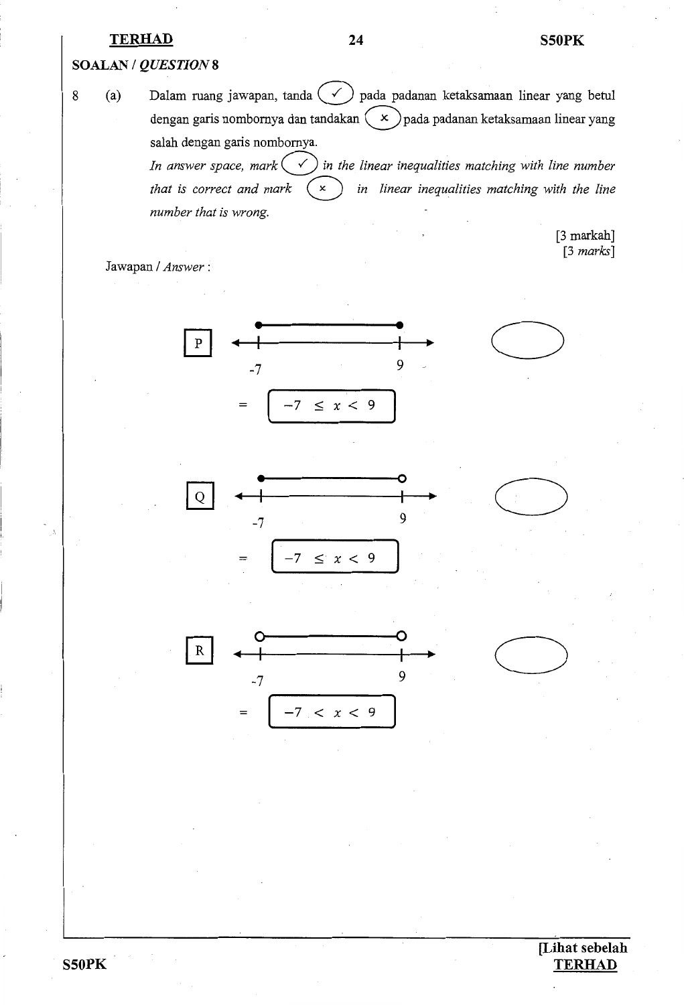### **TERHAD 24 SSOPK**

### **SO ALAN I** *QUESTION* **8**

8 (a) Dalam ruang jawapan, tanda  $(\checkmark)$  pada padanan ketaksamaan linear yang betul dengan garis nombornya dan tandakan  $( x )$ pada padanan ketaksamaan linear yang salah dengan garis nombomya.

> *In answer space, mark*  $\left(\sqrt{2}\right)$  *in the linear inequalities matching with line number that is correct and mark*  $(\times)$  *in linear inequalities matching with the line number that is wrong.*

> > [3 markah] [3 *marks]*









 $\subset$ 

 $\subset$ 



**[Lihat sebelah TERHAD** 

**SSOPK**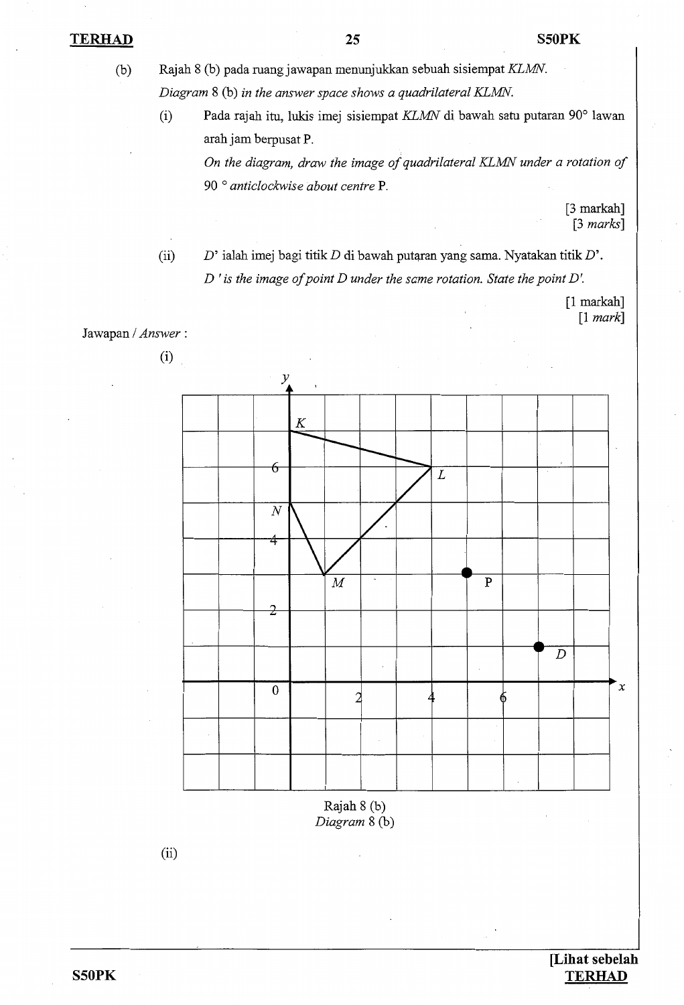### **TERHAD** 25 S50PK

- (b) Rajah 8 (b) pada ruang jawapan menunjukkan sebuah sisiempat *KLMN*. *Diagram* 8 (b) *in the answer space shows a quadrilateral KLMN.* 
	- (i) Pada rajah itu, lukis imej sisiempat *KLMN* di bawah satu putaran 90° lawan arah jam berpusat P.

On the diagram, draw the image of quadrilateral KLMN under a rotation of 90 ° *anticlockwise about centre* P.

> [3 markah] [3 *marks]*

(ii) *D'* ialah imej bagi titik *D* di bawah putaran yang sama. Nyatakan titik *D'. D 'is the image of point D under the same rotation. State the point D'.* 

> [1 markah] [1 *mark]*

Jawapan *I Answer* :

(i)





(ii)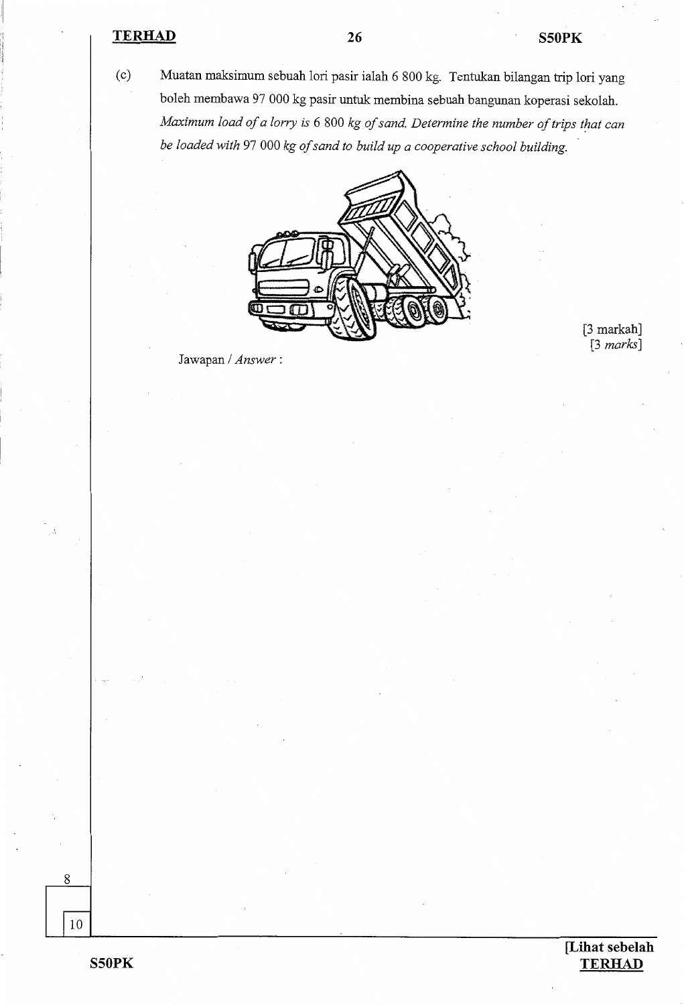### **TERHAD 26 SSOPK**

( c) Muatan maksimum sebuah lori pasir ialah 6 800 kg. Tentukan bilangan trip lori yang boleh membawa 97 000 kg pasir untuk membina sebuah bangunan koperasi sekolah. *Maximum load of a lorry is 6 800 kg of sand. Determine the number of trips that can be loaded with* 97 000 *kg of sand to build up a cooperative school building.* 



Jawapan *I Answer* :

[3 markah] [3 *marks]* 

8

10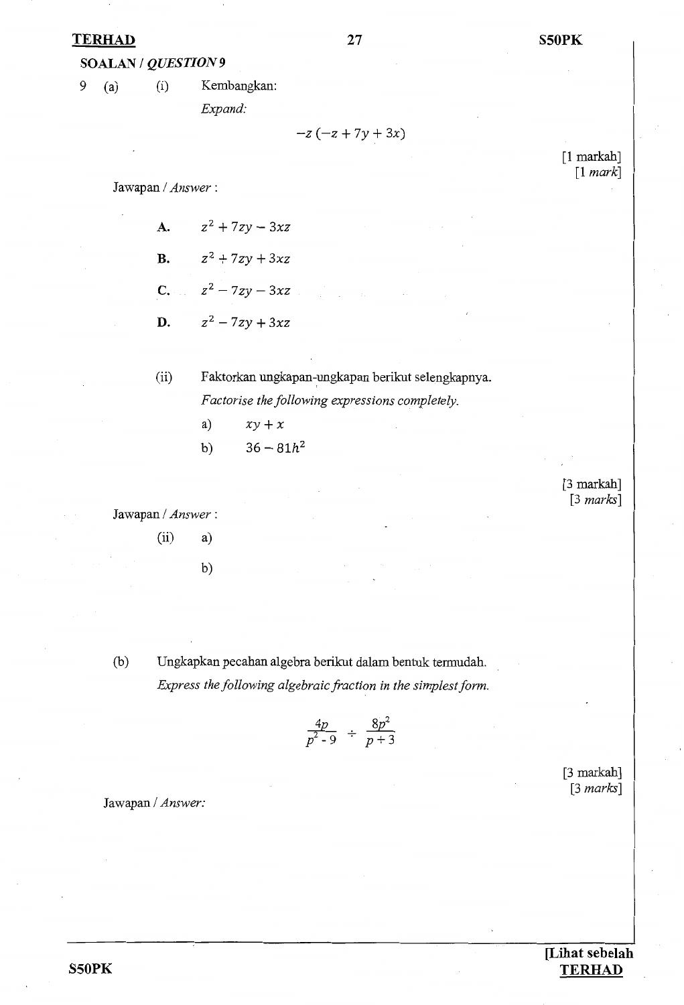### **SOALAN** *I QUESTION* **9**

9 (a) (i) Kembangkan:

*Expand:* 

[1 markah] [1 *mark]* 

**SSOPK** 

Jawapan *I Answer* :

**A.**  $z^2 + 7zy - 3xz$ **B.**  $z^2 + 7zy + 3xz$ **c.**  $z^2 - 7zy - 3xz$ **D.**  $z^2 - 7zy + 3xz$ 

(ii) Faktorkan ungkapan-ungkapan berikut selengkapnya. *Factorise the following expressions completely.* 

- a)  $xy + x$
- b)  $36 81h^2$

Jawapan *I Answer* :

(ii) a)

b)

(b) Ungkapkan pecahan algebra berikut dalam bentuk termudah. *Express the following algebraic fraction in the simplest form.* 

$$
\frac{4p}{p^2-9} \div \frac{8p^2}{p+3}
$$

[3 markah] [3 *marks]* 

[3 markah] [3 *marks]* 

Jawapan *I Answer:*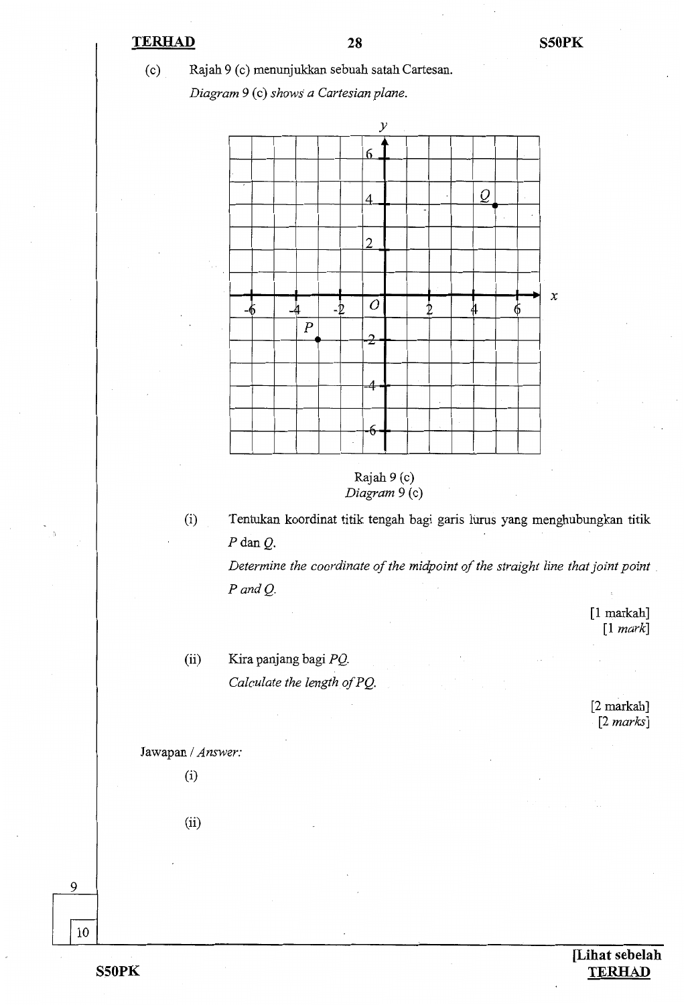(c) Rajah 9 (c) menunjukkan sebuah satah Cartesan.

*Diagram* 9 ( c) *shows a Cartesian plane.* 



Rajah 9 (c) Diagram 9 (c)

(i) Tentukan koordinat titik tengah bagi garis lurus yang menghubungkan titik  $P$  dan  $Q$ .

*Determine the coordinate of the midpoint of the straight line that joint point PandQ.* 

(ii) Kira panjang bagi *PQ. Calculate the length of PQ.* 

[2 markah] [2 *marks]* 

**[Lihat sebelah TERHAD** 

[1 markah] [1 *mark]* 

Jawapan *I Answer:* 

(i)

(ii)

**SSOPK** 

9

10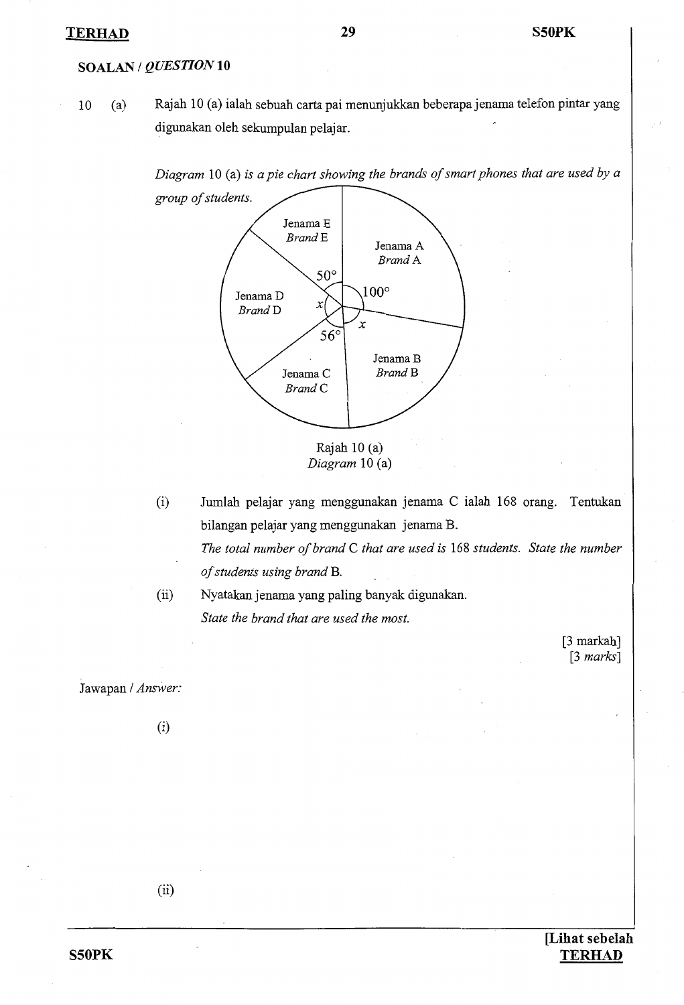### **TERHAD** 29 S50PK

### **SOALAN I** *QUESTION* **10**

10 (a) Rajah 10 (a) ialah sebuah carta pai menunjukkan beberapajenama telefon pintar yang digunakan oleh sekumpulan pelajar.

*Diagram* IO (a) *is a pie chart showing the brands of smart phones that are used by a* 



*Diagram* 10 (a)

(i) Jumlah pelajar yang menggunakan jenama C ialah 168 orang. Tentukan bilangan pelajar yang menggunakan jenama B. *The total number of brand* C *that are used is* 168 *students. State the number* 

*of students using brand* B.

(ii) Nyatakanjenama yang paling banyak digunakan. *State the brand that are used the most.* 

> [3 markah] [3 *marks]*

Jawapan / Answer:

(i)

(ii)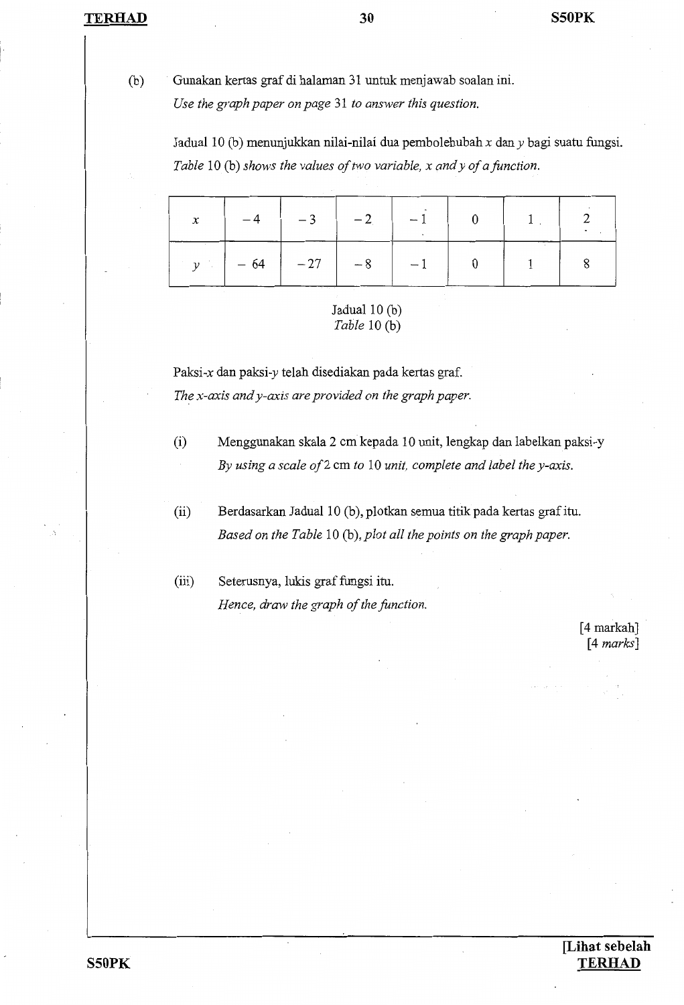### **TERHAD 30 SSOPK**

(b) Gunakan kertas graf di halaman 31 untuk menjawab soalan ini. *Use the graph paper on page* 31 *to answer this question.* 

> J adual 10 (b) menunjukkan nilai-nilai dua pembolehubah x dan *y* bagi suatu fungsi. *Table* 10 (b) *shows the values of two variable, x and y of a function.*

| $x \mid -4 \mid -3 \mid -2 \mid -1 \mid 0$               |  |  |  |
|----------------------------------------------------------|--|--|--|
| $y \begin{bmatrix} -64 & -27 & -8 \end{bmatrix}$ -8 $-1$ |  |  |  |



Paksi-x dan paksi-y telah disediakan pada kertas graf. *The x-axis and y-axis are provided on the graph paper.* 

- (i) Menggunakan skala 2 cm kepada 10 unit, lengkap dan labelkan paksi-y *By using a scale of2* cm *to* 10 *unit, complete and label the y-axis.*
- (ii) Berdasarkan Jadual 10 (b), plotkan semua titik pada kertas graf itu. *Based on the Table 10 (b), plot all the points on the graph paper.*
- (iii) Seterusnya, lukis graf fungsi itu. *Hence, draw the graph of the function.*

[4 markah] [4 *marks]*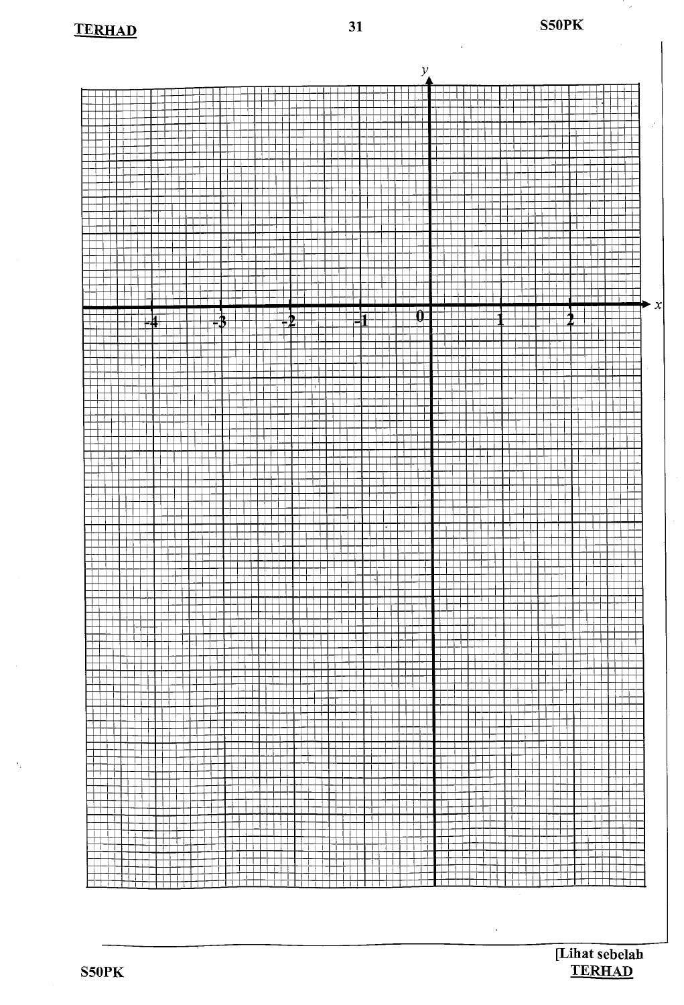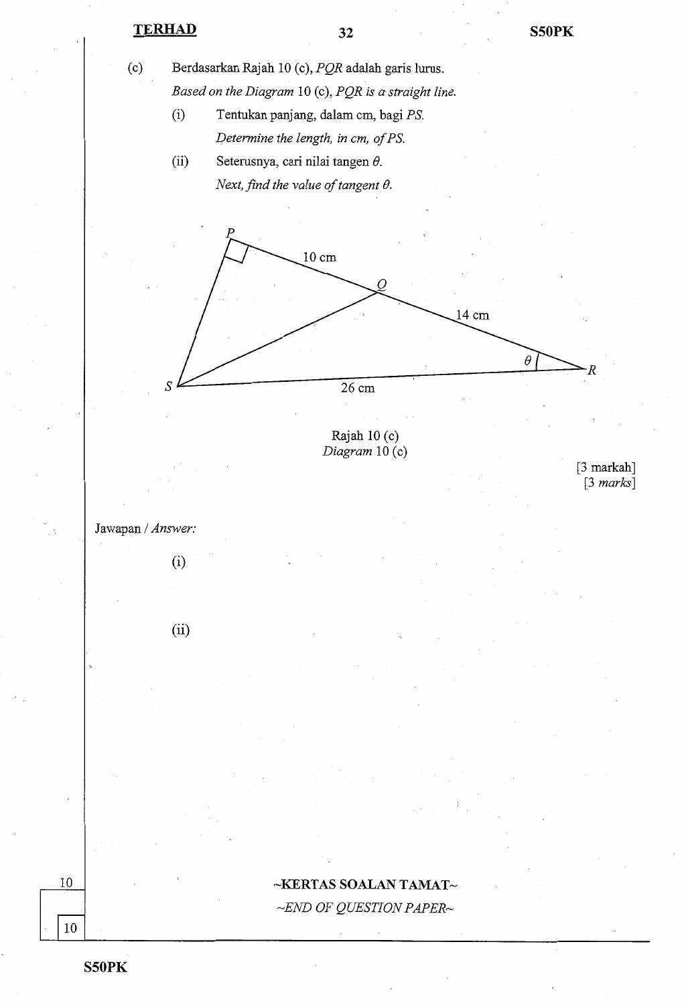(c) Berdasarkan Rajah 10 (c), *PQR* adalah garis lurus. *Based on the Diagram* 10 (c), PQR is a straight line.

- (i) Tentukan panjang, dalam cm, bagi *PS. Determine the length, in cm, of PS.*
- (ii) Seterusnya, cari nilai tangen  $\theta$ . *Next, find the value of tangent θ.*



Rajah 10 (c) *Diagram* IO (c)

[3 markah] [3 *marks]* 

Jawapan *I Answer:* 

(i)

(ii)

## ~KERTAS **SOALAN** TAMAT~

~END *OF QUESTION* PAPER~

**SSOPK** 

10

10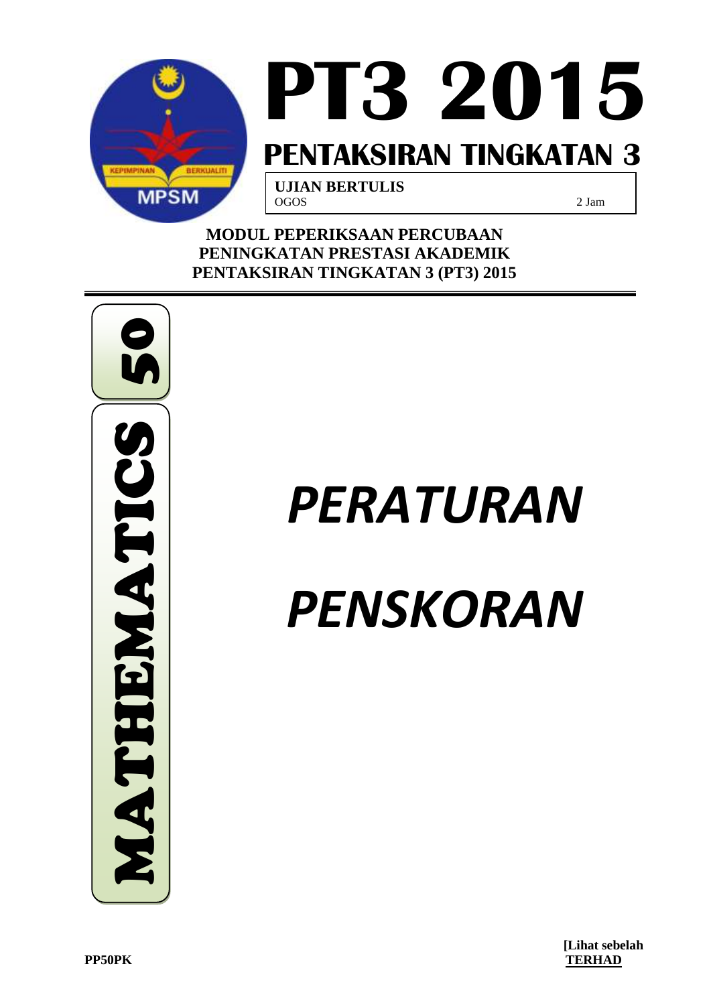

# **PT3 2015**

# **PENTAKSIRAN TINGKATAN 3**

**UJIAN BERTULIS** OGOS 2 Jam

**MODUL PEPERIKSAAN PERCUBAAN** PENINGKATAN PRESTASI AKADEMIK **PENTAKSIRAN TINGKATAN 3 (PT3) 2015**



# *PERATURAN PENSKORAN*

**[Lihat sebelah PP50PK TERHAD**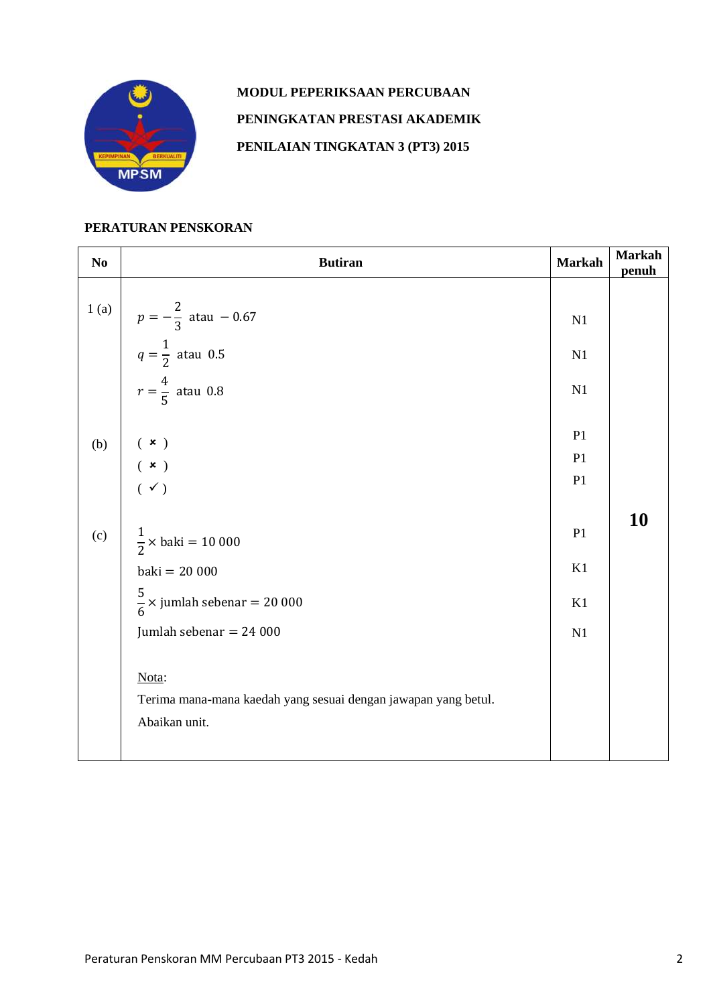

## **MODUL PEPERIKSAAN PERCUBAAN PENINGKATAN PRESTASI AKADEMIK PENILAIAN TINGKATAN 3 (PT3) 2015**

### **PERATURAN PENSKORAN**

| N <sub>0</sub> | <b>Butiran</b>                                                 | <b>Markah</b>  | <b>Markah</b><br>penuh |
|----------------|----------------------------------------------------------------|----------------|------------------------|
|                |                                                                |                |                        |
| 1(a)           | $p = -\frac{2}{3}$ atau - 0.67                                 | N1             |                        |
|                | $q = \frac{1}{2}$ atau 0.5                                     | N1             |                        |
|                | $r = \frac{4}{5}$ atau 0.8                                     | N1             |                        |
|                | $( \begin{array}{c} \star \end{array} )$                       | P1             |                        |
| (b)            |                                                                | P <sub>1</sub> |                        |
|                | ( x )                                                          | P1             |                        |
|                | ( $\checkmark$ )                                               |                |                        |
|                |                                                                |                | 10                     |
| (c)            | $\frac{1}{2}$ × baki = 10 000                                  | P1             |                        |
|                | $baki = 20000$                                                 | K1             |                        |
|                | $\frac{5}{6}$ × jumlah sebenar = 20 000                        | K1             |                        |
|                | Jumlah sebenar = $24000$                                       | N1             |                        |
|                |                                                                |                |                        |
|                | Nota:                                                          |                |                        |
|                | Terima mana-mana kaedah yang sesuai dengan jawapan yang betul. |                |                        |
|                | Abaikan unit.                                                  |                |                        |
|                |                                                                |                |                        |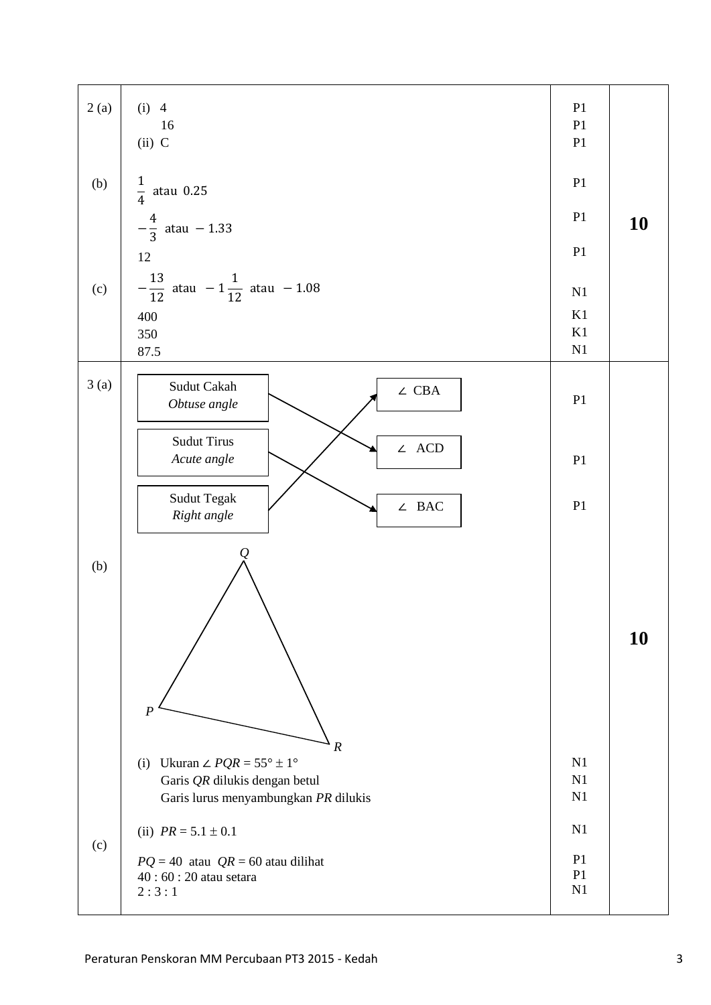| 2(a) | $(i)$ 4<br>16                                                                                                                                   | P <sub>1</sub><br>P1       |    |
|------|-------------------------------------------------------------------------------------------------------------------------------------------------|----------------------------|----|
|      | $(ii)$ C                                                                                                                                        | P1                         |    |
| (b)  | $\frac{1}{4}$ atau 0.25                                                                                                                         | P1                         |    |
|      | $-\frac{4}{3}$ atau - 1.33                                                                                                                      | P <sub>1</sub>             | 10 |
|      | $12\,$                                                                                                                                          | P1                         |    |
| (c)  | $-\frac{13}{12}$ atau $-1\frac{1}{12}$ atau $-1.08$                                                                                             | N1                         |    |
|      | 400                                                                                                                                             | K1                         |    |
|      | 350<br>87.5                                                                                                                                     | K1<br>N1                   |    |
| 3(a) | Sudut Cakah<br>$\angle$ CBA<br>Obtuse angle                                                                                                     | P1                         |    |
|      | <b>Sudut Tirus</b><br>$\angle\;\;$ ACD<br>Acute angle                                                                                           | P1                         |    |
|      | Sudut Tegak<br>$\angle$ BAC<br>Right angle                                                                                                      | $\mathbf{P}1$              |    |
| (b)  | $\boldsymbol{P}$                                                                                                                                |                            | 10 |
|      | $\boldsymbol{R}$<br>(i) Ukuran $\angle PQR = 55^{\circ} \pm 1^{\circ}$<br>Garis QR dilukis dengan betul<br>Garis lurus menyambungkan PR dilukis | N1<br>N1<br>N1             |    |
| (c)  | (ii) $PR = 5.1 \pm 0.1$                                                                                                                         | N1                         |    |
|      | $PQ = 40$ atau $QR = 60$ atau dilihat<br>$40:60:20$ atau setara<br>2:3:1                                                                        | P <sub>1</sub><br>P1<br>N1 |    |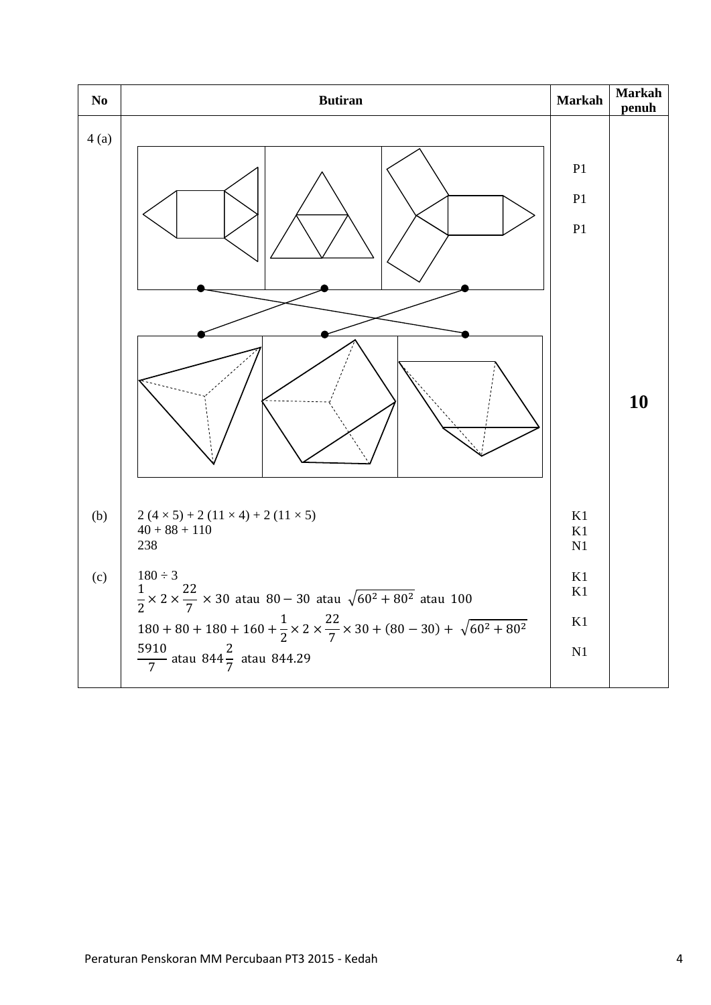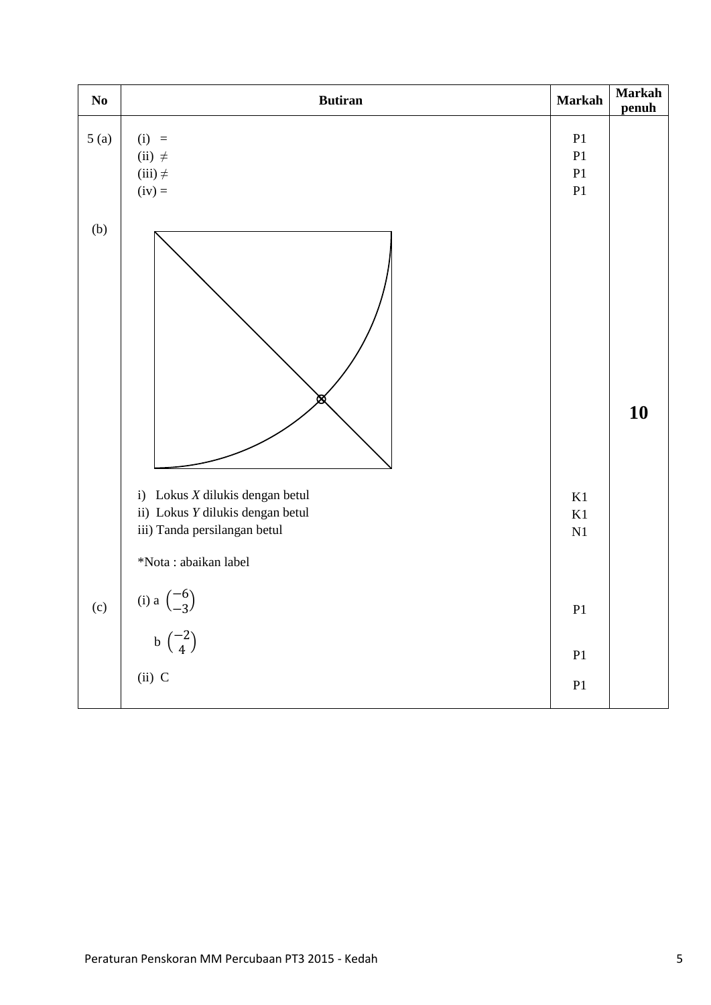| No   | <b>Butiran</b>                                                                                                              | <b>Markah</b>                                         | <b>Markah</b><br>penuh |
|------|-----------------------------------------------------------------------------------------------------------------------------|-------------------------------------------------------|------------------------|
| 5(a) | $(i) =$<br>(ii) $\neq$<br>$(iii) \neq$<br>$(iv) =$                                                                          | $\mathbf{P}1$<br>$\mathbf{P}1$<br>$\mathbf{P}1$<br>P1 |                        |
| (b)  |                                                                                                                             |                                                       | 10                     |
|      | i) Lokus X dilukis dengan betul<br>ii) Lokus Y dilukis dengan betul<br>iii) Tanda persilangan betul<br>*Nota: abaikan label | K1<br>K1<br>N1                                        |                        |
| (c)  | (i) a $\binom{-6}{-3}$                                                                                                      | P1                                                    |                        |
|      | b $\binom{-2}{4}$                                                                                                           | P1                                                    |                        |
|      | $(ii)$ C                                                                                                                    | ${\bf P}1$                                            |                        |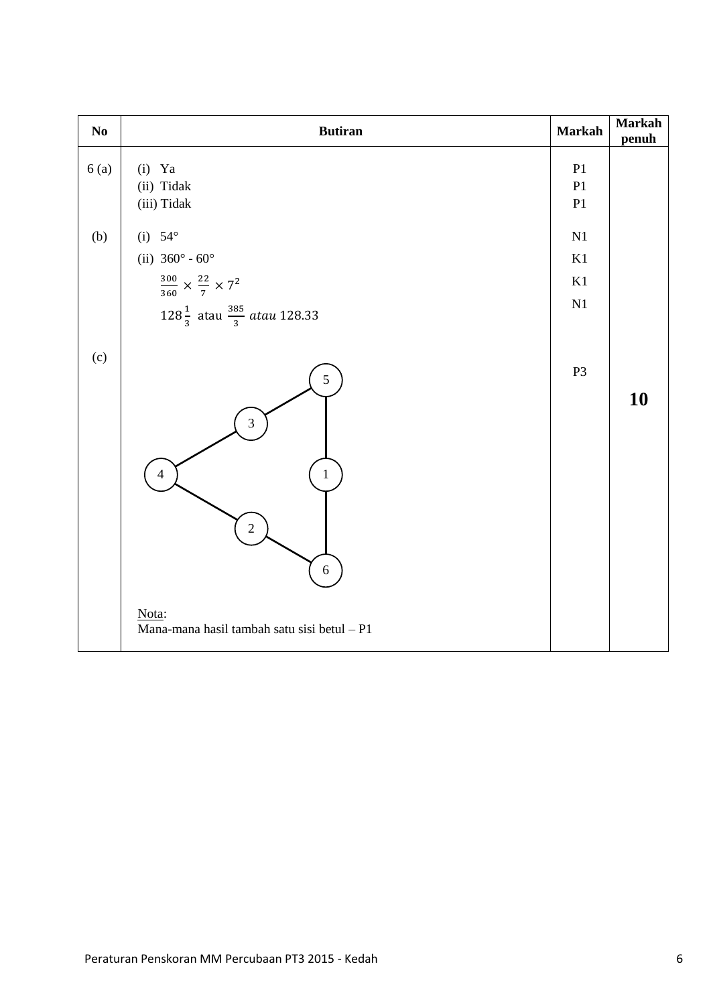| N <sub>0</sub> | <b>Butiran</b>                                                                                          | <b>Markah</b>                     | <b>Markah</b><br>penuh |
|----------------|---------------------------------------------------------------------------------------------------------|-----------------------------------|------------------------|
| 6(a)           | $(i)$ Ya<br>(ii) Tidak<br>(iii) Tidak                                                                   | P1<br>$\mathbf{P}1$<br>${\bf P}1$ |                        |
| (b)            | (i) $54^{\circ}$<br>(ii) $360^{\circ} - 60^{\circ}$<br>$\frac{300}{360} \times \frac{22}{7} \times 7^2$ | N1<br>K1<br>K1<br>$\mathbf{N}1$   |                        |
| (c)            | $128\frac{1}{3}$ atau $\frac{385}{3}$ atau 128.33<br>5                                                  | P <sub>3</sub>                    | 10                     |
|                | 3<br>$\overline{4}$<br>$\mathbf{1}$                                                                     |                                   |                        |
|                | $\overline{2}$<br>6<br>Nota:<br>Mana-mana hasil tambah satu sisi betul - P1                             |                                   |                        |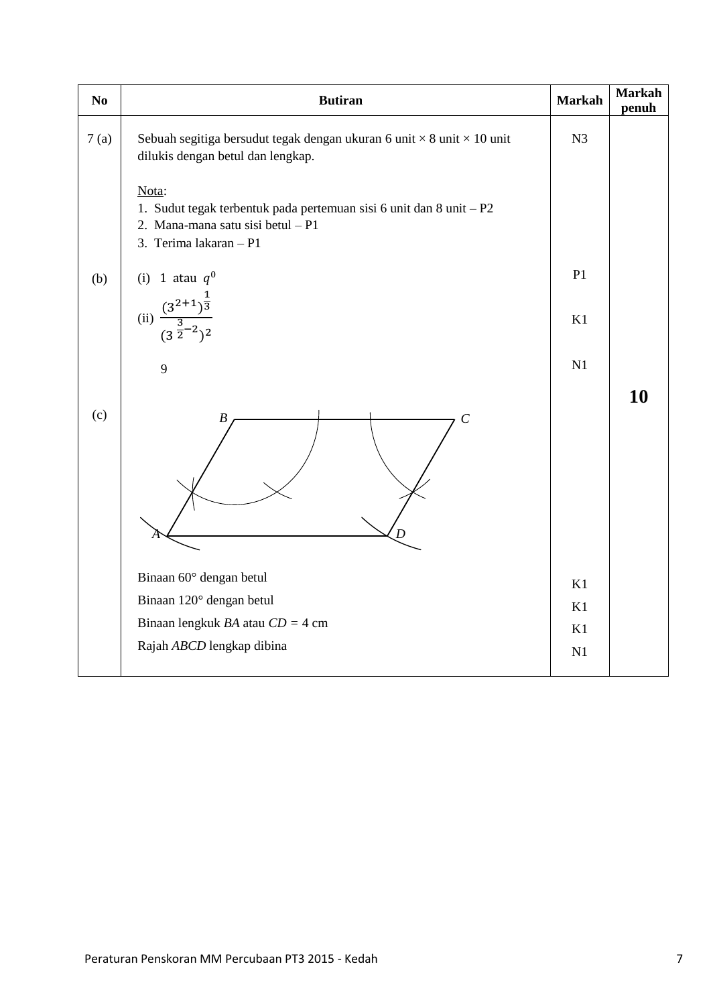| N <sub>0</sub> | <b>Butiran</b>                                                                                                                              | <b>Markah</b>  | <b>Markah</b><br>penuh |
|----------------|---------------------------------------------------------------------------------------------------------------------------------------------|----------------|------------------------|
| 7(a)           | Sebuah segitiga bersudut tegak dengan ukuran 6 unit $\times$ 8 unit $\times$ 10 unit<br>dilukis dengan betul dan lengkap.                   | N <sub>3</sub> |                        |
|                | Nota:<br>1. Sudut tegak terbentuk pada pertemuan sisi 6 unit dan 8 unit - P2<br>2. Mana-mana satu sisi betul - P1<br>3. Terima lakaran - P1 |                |                        |
| (b)            | 1 atau $q^0$<br>(i)                                                                                                                         | P1             |                        |
|                | $\frac{(3^{2+1})^{\frac{1}{3}}}{(3+1)^{\frac{1}{3}}}$<br>(ii)<br>$\frac{3}{(3^{\frac{3}{2}-2})^2}$                                          | K1             |                        |
|                | $\mathbf{9}$                                                                                                                                | N1             |                        |
| (c)            | B<br>$\cal C$                                                                                                                               |                | <b>10</b>              |
|                | Binaan $60^\circ$ dengan betul                                                                                                              | K1             |                        |
|                | Binaan 120° dengan betul                                                                                                                    | K1             |                        |
|                | Binaan lengkuk BA atau $CD = 4$ cm                                                                                                          | K1             |                        |
|                | Rajah ABCD lengkap dibina                                                                                                                   | N1             |                        |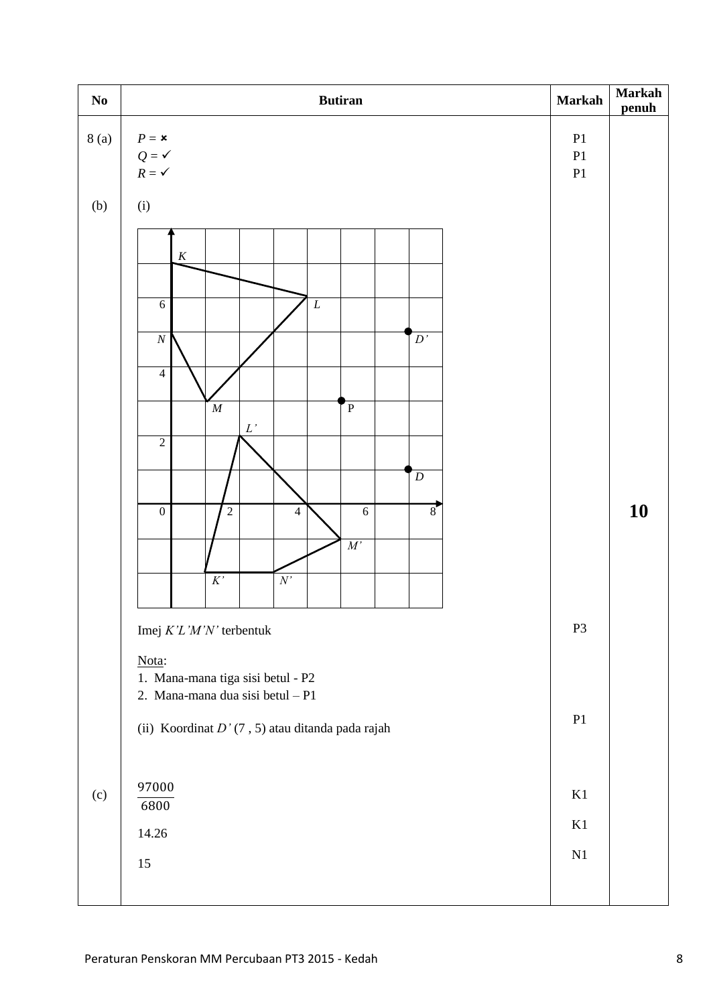| $\bf No$ | <b>Butiran</b>                                                                                                                                                                                                                                                                                                | <b>Markah</b>                                   | <b>Markah</b><br>penuh |
|----------|---------------------------------------------------------------------------------------------------------------------------------------------------------------------------------------------------------------------------------------------------------------------------------------------------------------|-------------------------------------------------|------------------------|
| 8(a)     | $P=\star$<br>$Q = \checkmark$<br>$R=\checkmark$                                                                                                                                                                                                                                                               | $\mathbf{P}1$<br>$\mathbf{P}1$<br>$\mathbf{P}1$ |                        |
| (b)      | (i)                                                                                                                                                                                                                                                                                                           |                                                 |                        |
|          | $\cal K$<br>$\sqrt{6}$<br>$\cal L$<br>$\overline{D}$<br>${\cal N}$<br>$\overline{4}$<br>$\overline{P}$<br>$\overline{M}$<br>$L^{\, \prime}$<br>$\overline{2}$<br>$\overline{D}$<br>$\overline{8}$<br>$\sqrt{2}$<br>$\boldsymbol{0}$<br>$\overline{4}$<br>$\sqrt{6}$<br>$M^\prime$<br>$K^\prime$<br>$N^\prime$ |                                                 | 10                     |
|          | Imej $K'L'M'N'$ terbentuk<br>Nota:                                                                                                                                                                                                                                                                            | $\mathbf{P}3$                                   |                        |
|          | 1. Mana-mana tiga sisi betul - P2<br>2. Mana-mana dua sisi betul - P1                                                                                                                                                                                                                                         |                                                 |                        |
|          | (ii) Koordinat $D'$ (7 , 5) atau ditanda pada rajah                                                                                                                                                                                                                                                           | $\mathbf{P}1$                                   |                        |
| (c)      | 97000<br>6800                                                                                                                                                                                                                                                                                                 | K1<br>$\rm K1$                                  |                        |
|          | 14.26<br>$15\,$                                                                                                                                                                                                                                                                                               | $\mathbf{N}1$                                   |                        |
|          |                                                                                                                                                                                                                                                                                                               |                                                 |                        |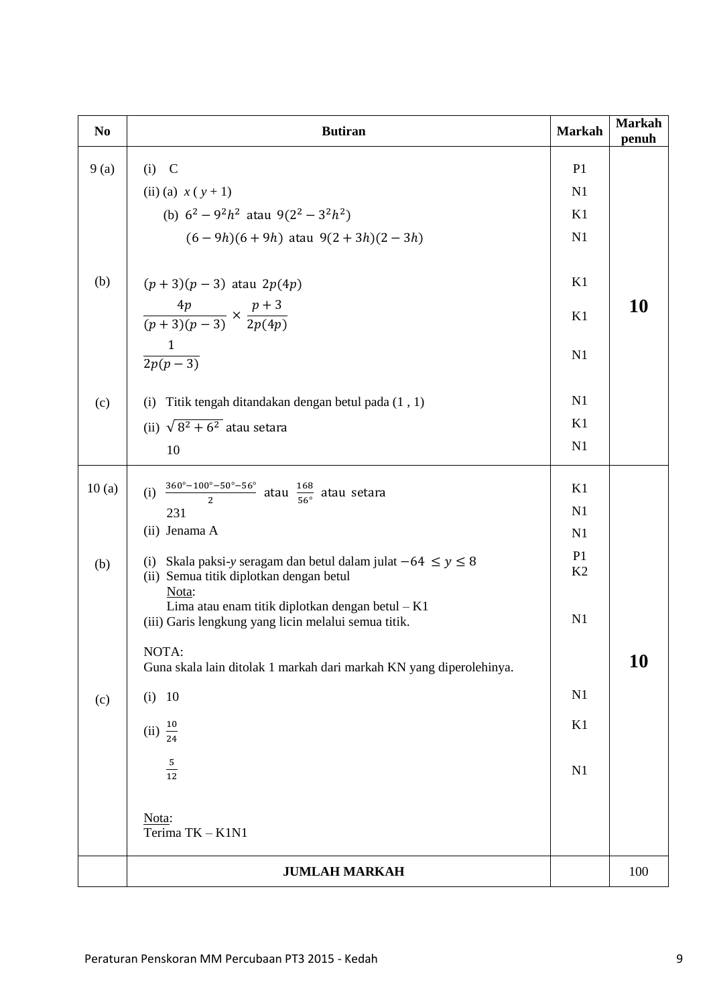| N <sub>0</sub> | <b>Butiran</b>                                                                                                     | <b>Markah</b>                    | <b>Markah</b><br>penuh |
|----------------|--------------------------------------------------------------------------------------------------------------------|----------------------------------|------------------------|
| 9(a)           | $(i)$ C                                                                                                            | P <sub>1</sub>                   |                        |
|                | (ii) (a) $x(y+1)$                                                                                                  | N <sub>1</sub>                   |                        |
|                | (b) $6^2 - 9^2h^2$ atau $9(2^2 - 3^2h^2)$                                                                          | K1                               |                        |
|                | $(6-9h)(6+9h)$ atau $9(2+3h)(2-3h)$                                                                                | N1                               |                        |
| (b)            | $(p+3)(p-3)$ atau $2p(4p)$                                                                                         | K1                               | <b>10</b>              |
|                | $\frac{4p}{(p+3)(p-3)} \times \frac{p+3}{2p(4p)}$                                                                  | K1                               |                        |
|                | $\frac{1}{2p(p-3)}$                                                                                                | N1                               |                        |
| (c)            | Titik tengah ditandakan dengan betul pada (1, 1)<br>(i)                                                            | N1                               |                        |
|                | (ii) $\sqrt{8^2+6^2}$ atau setara                                                                                  | K1                               |                        |
|                | 10                                                                                                                 | N1                               |                        |
| 10(a)          | (i) $\frac{360^{\circ}-100^{\circ}-50^{\circ}-56^{\circ}}{2}$ atau $\frac{168}{56^{\circ}}$ atau setara            | K1                               |                        |
|                | 231                                                                                                                | N1                               |                        |
|                | (ii) Jenama A                                                                                                      | N1                               |                        |
| (b)            | (i) Skala paksi-y seragam dan betul dalam julat $-64 \le y \le 8$<br>(ii) Semua titik diplotkan dengan betul       | P <sub>1</sub><br>K <sub>2</sub> |                        |
|                | Nota:<br>Lima atau enam titik diplotkan dengan betul $-K1$<br>(iii) Garis lengkung yang licin melalui semua titik. | N1                               |                        |
|                | NOTA:<br>Guna skala lain ditolak 1 markah dari markah KN yang diperolehinya.                                       |                                  | 10                     |
| (c)            | (i) 10                                                                                                             | N1                               |                        |
|                | (ii) $\frac{10}{24}$                                                                                               | K1                               |                        |
|                | $\frac{5}{12}$                                                                                                     | N1                               |                        |
|                | Nota:<br>Terima TK - K1N1                                                                                          |                                  |                        |
|                | <b>JUMLAH MARKAH</b>                                                                                               |                                  | 100                    |